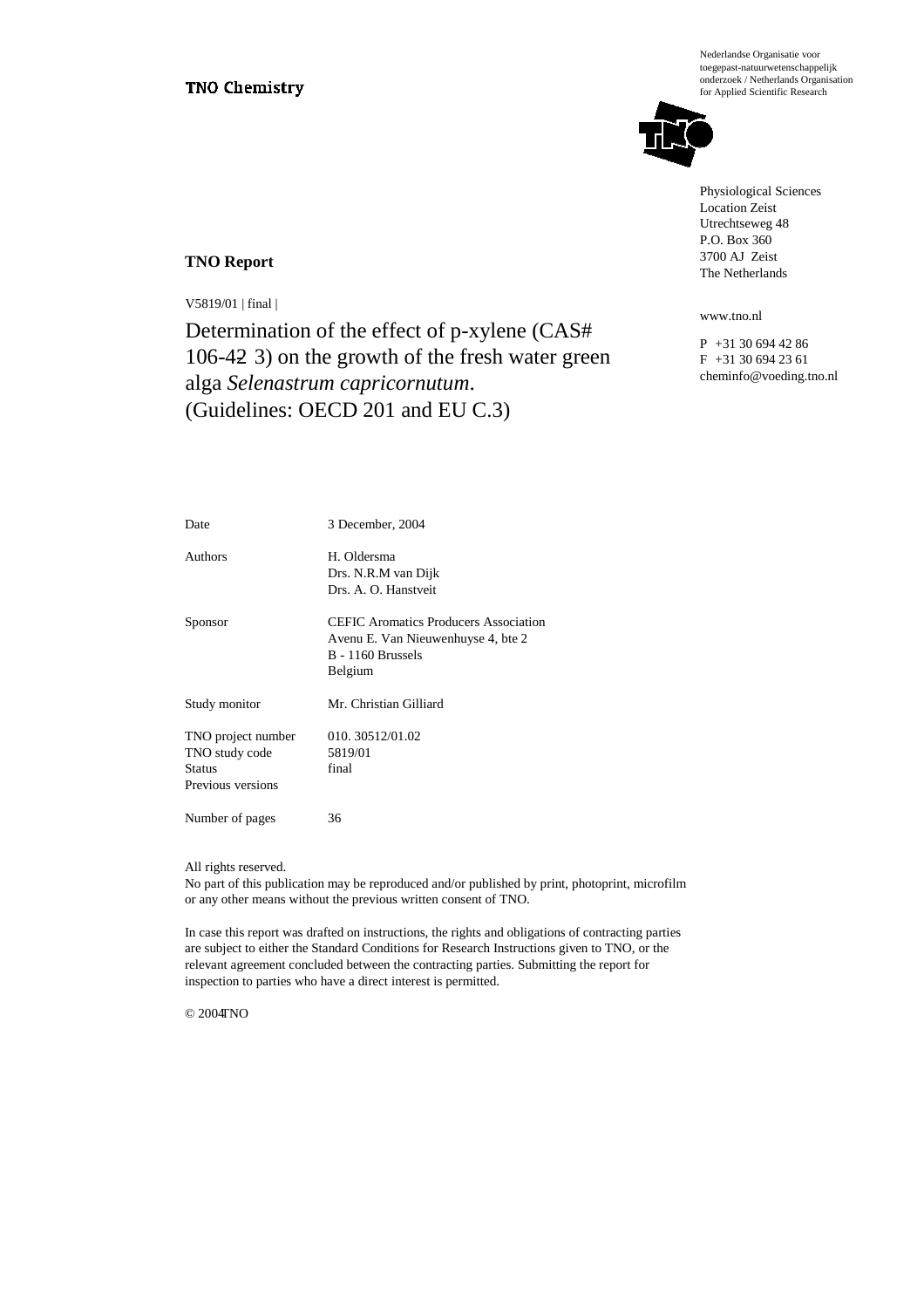Nederlandse Organisatie voor toegepast-natuurwetenschappelijk onderzoek / Netherlands Organisation for Applied Scientific Research



Physiological Sciences Location Zeist Utrechtseweg 48 P.O. Box 360 3700 AJ Zeist The Netherlands

www.tno.nl

P +31 30 694 42 86 F +31 30 694 23 61 cheminfo@voeding.tno.nl

#### **TNO Report**

V5819/01 | final |

Determination of the effect of p-xylene (CAS# 106-42-3) on the growth of the fresh water green alga *Selenastrum capricornutum*. (Guidelines: OECD 201 and EU C.3)

| Date                                                                       | 3 December, 2004                                                                                                          |
|----------------------------------------------------------------------------|---------------------------------------------------------------------------------------------------------------------------|
| Authors                                                                    | H. Oldersma<br>Drs. N.R.M van Dijk<br>Drs. A. O. Hanstveit                                                                |
| Sponsor                                                                    | <b>CEFIC</b> Aromatics Producers Association<br>Avenu E. Van Nieuwenhuyse 4, bte 2<br><b>B</b> - 1160 Brussels<br>Belgium |
| Study monitor                                                              | Mr. Christian Gilliard                                                                                                    |
| TNO project number<br>TNO study code<br><b>Status</b><br>Previous versions | 010.30512/01.02<br>5819/01<br>final                                                                                       |
| Number of pages                                                            | 36                                                                                                                        |

#### All rights reserved.

No part of this publication may be reproduced and/or published by print, photoprint, microfilm or any other means without the previous written consent of TNO.

In case this report was drafted on instructions, the rights and obligations of contracting parties are subject to either the Standard Conditions for Research Instructions given to TNO, or the relevant agreement concluded between the contracting parties. Submitting the report for inspection to parties who have a direct interest is permitted.

© 2004TNO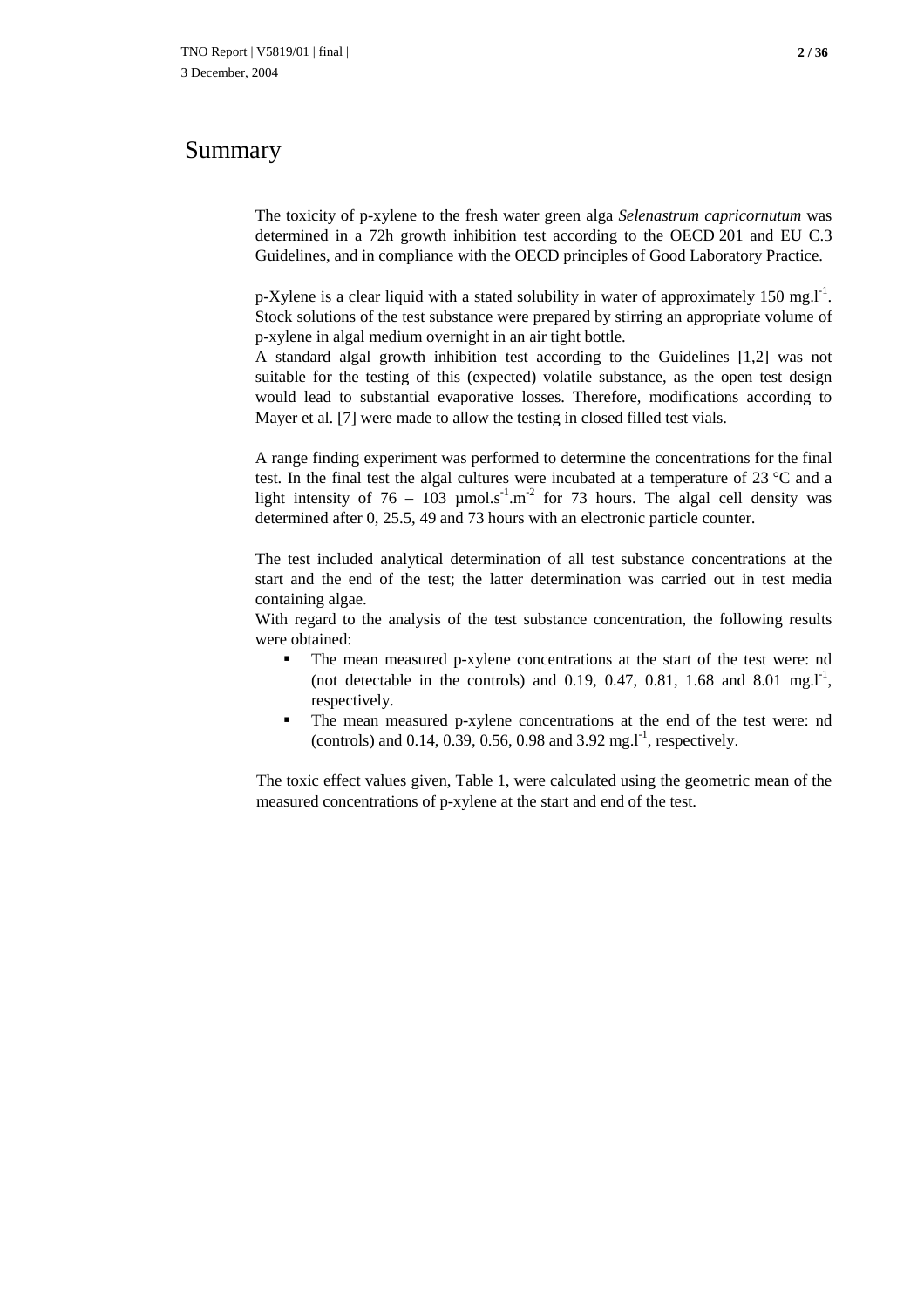### Summary

The toxicity of p-xylene to the fresh water green alga *Selenastrum capricornutum* was determined in a 72h growth inhibition test according to the OECD 201 and EU C.3 Guidelines, and in compliance with the OECD principles of Good Laboratory Practice.

p-Xylene is a clear liquid with a stated solubility in water of approximately 150 mg. $I<sup>1</sup>$ . Stock solutions of the test substance were prepared by stirring an appropriate volume of p-xylene in algal medium overnight in an air tight bottle.

A standard algal growth inhibition test according to the Guidelines [1,2] was not suitable for the testing of this (expected) volatile substance, as the open test design would lead to substantial evaporative losses. Therefore, modifications according to Mayer et al. [7] were made to allow the testing in closed filled test vials.

A range finding experiment was performed to determine the concentrations for the final test. In the final test the algal cultures were incubated at a temperature of 23 °C and a light intensity of 76 – 103  $\mu$ mol.s<sup>-1</sup>.m<sup>-2</sup> for 73 hours. The algal cell density was determined after 0, 25.5, 49 and 73 hours with an electronic particle counter.

The test included analytical determination of all test substance concentrations at the start and the end of the test; the latter determination was carried out in test media containing algae.

With regard to the analysis of the test substance concentration, the following results were obtained:

- The mean measured p-xylene concentrations at the start of the test were: nd (not detectable in the controls) and 0.19, 0.47, 0.81, 1.68 and 8.01 mg. $I<sup>-1</sup>$ , respectively.
- The mean measured p-xylene concentrations at the end of the test were: nd (controls) and 0.14, 0.39, 0.56, 0.98 and 3.92 mg.  $l^{-1}$ , respectively.

The toxic effect values given, Table 1, were calculated using the geometric mean of the measured concentrations of p-xylene at the start and end of the test.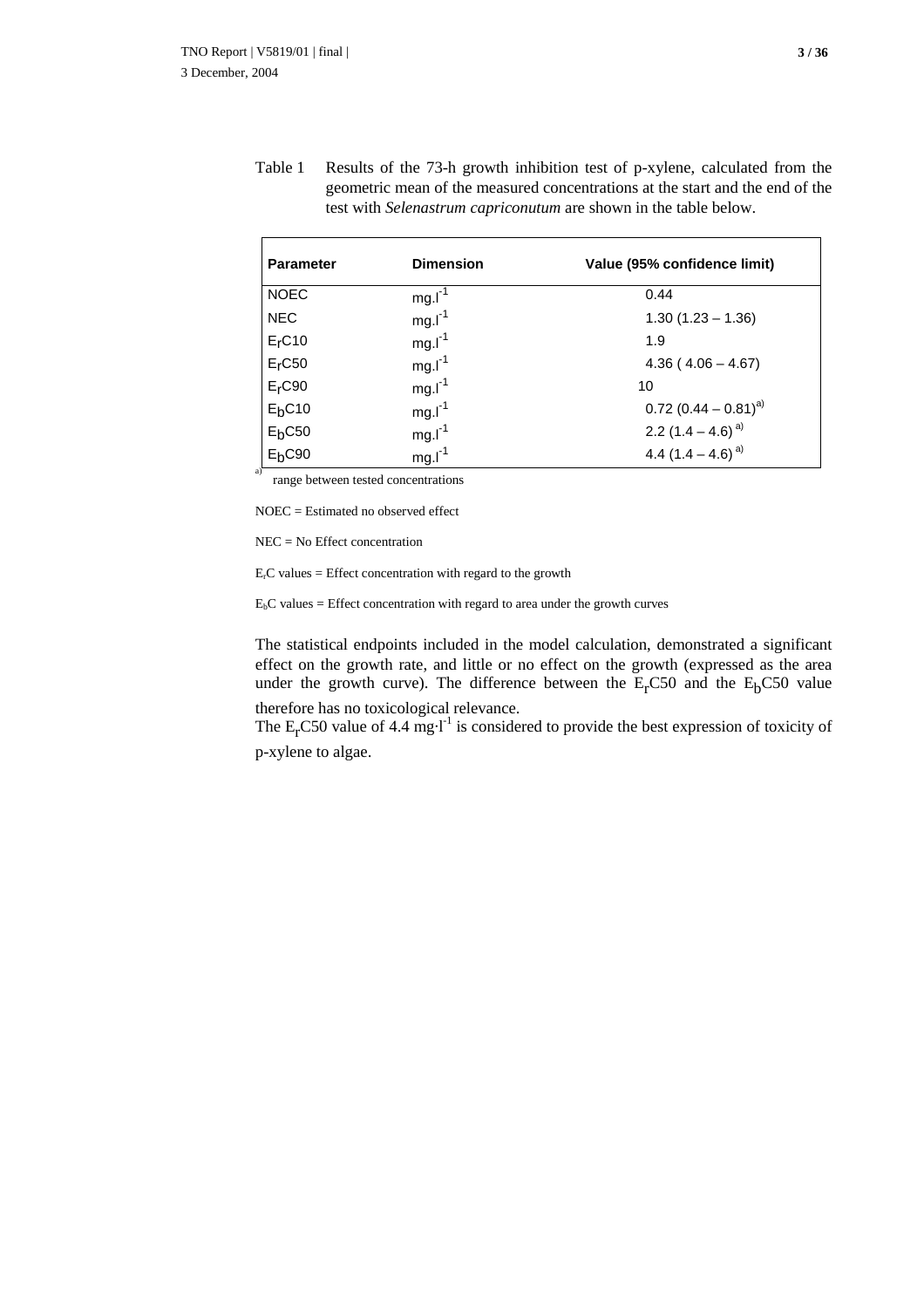Table 1 Results of the 73-h growth inhibition test of p-xylene, calculated from the geometric mean of the measured concentrations at the start and the end of the test with *Selenastrum capriconutum* are shown in the table below.

| <b>Parameter</b>   | <b>Dimension</b> | Value (95% confidence limit)       |
|--------------------|------------------|------------------------------------|
| <b>NOEC</b>        | $mg.I-1$         | 0.44                               |
| <b>NEC</b>         | $mg.I-1$         | $1.30(1.23 - 1.36)$                |
| E <sub>r</sub> C10 | $mg.I-1$         | 1.9                                |
| $Er$ C50           | $mg.I-1$         | $4.36(4.06 - 4.67)$                |
| $Er$ C90           | $mg.l^{-1}$      | 10                                 |
| E <sub>b</sub> C10 | $mg.I-1$         | $0.72$ (0.44 – 0.81) <sup>a)</sup> |
| $E_bC50$           | $mg.l^{-1}$      | 2.2 $(1.4 - 4.6)^{a}$              |
| $Eb$ C90           | $mg.I-1$         | 4.4 $(1.4 - 4.6)^{a}$              |

range between tested concentrations

NOEC = Estimated no observed effect

NEC = No Effect concentration

 $E<sub>r</sub>C$  values = Effect concentration with regard to the growth

 $E_bC$  values = Effect concentration with regard to area under the growth curves

The statistical endpoints included in the model calculation, demonstrated a significant effect on the growth rate, and little or no effect on the growth (expressed as the area under the growth curve). The difference between the  $E<sub>r</sub>CS0$  and the  $E<sub>b</sub>CS0$  value

therefore has no toxicological relevance.

The  $E<sub>r</sub>CS0$  value of 4.4 mg·l<sup>-1</sup> is considered to provide the best expression of toxicity of p-xylene to algae.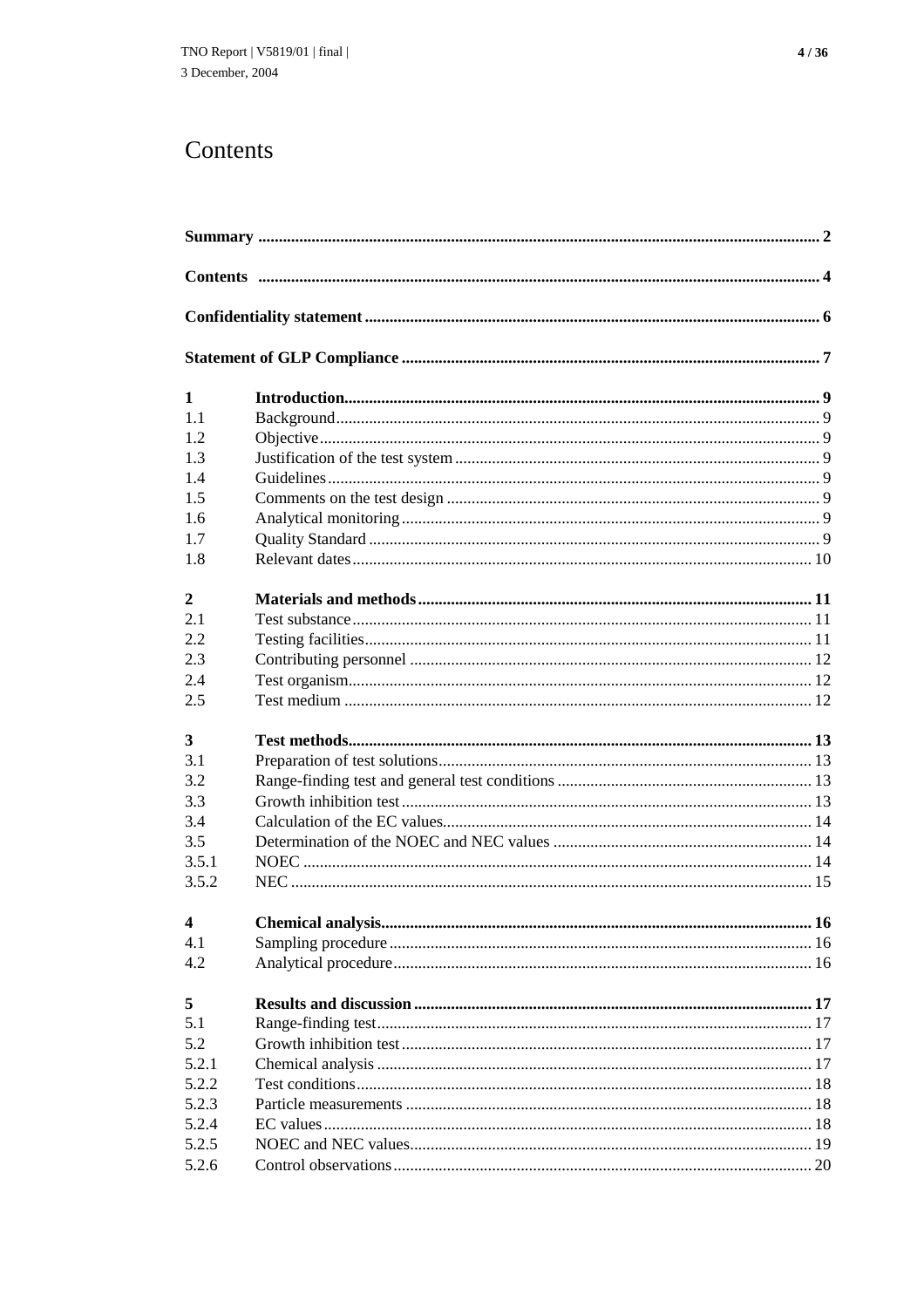# Contents

| $\mathbf{1}$   |  |  |
|----------------|--|--|
| 1.1            |  |  |
| 1.2            |  |  |
| 1.3            |  |  |
| 1.4            |  |  |
| 1.5            |  |  |
| 1.6            |  |  |
| 1.7            |  |  |
| 1.8            |  |  |
| $\mathbf{2}$   |  |  |
| 2.1            |  |  |
| 2.2            |  |  |
| 2.3            |  |  |
| 2.4            |  |  |
| 2.5            |  |  |
| 3              |  |  |
| 3.1            |  |  |
| 3.2            |  |  |
| 3.3            |  |  |
| 3.4            |  |  |
| 3.5            |  |  |
| 3.5.1          |  |  |
| 3.5.2          |  |  |
|                |  |  |
| $\overline{4}$ |  |  |
| 4.1            |  |  |
| 4.2            |  |  |
| 5              |  |  |
| 5.1            |  |  |
| 5.2            |  |  |
| 5.2.1          |  |  |
| 5.2.2          |  |  |
| 5.2.3          |  |  |
| 5.2.4          |  |  |
| 5.2.5          |  |  |
| 5.2.6          |  |  |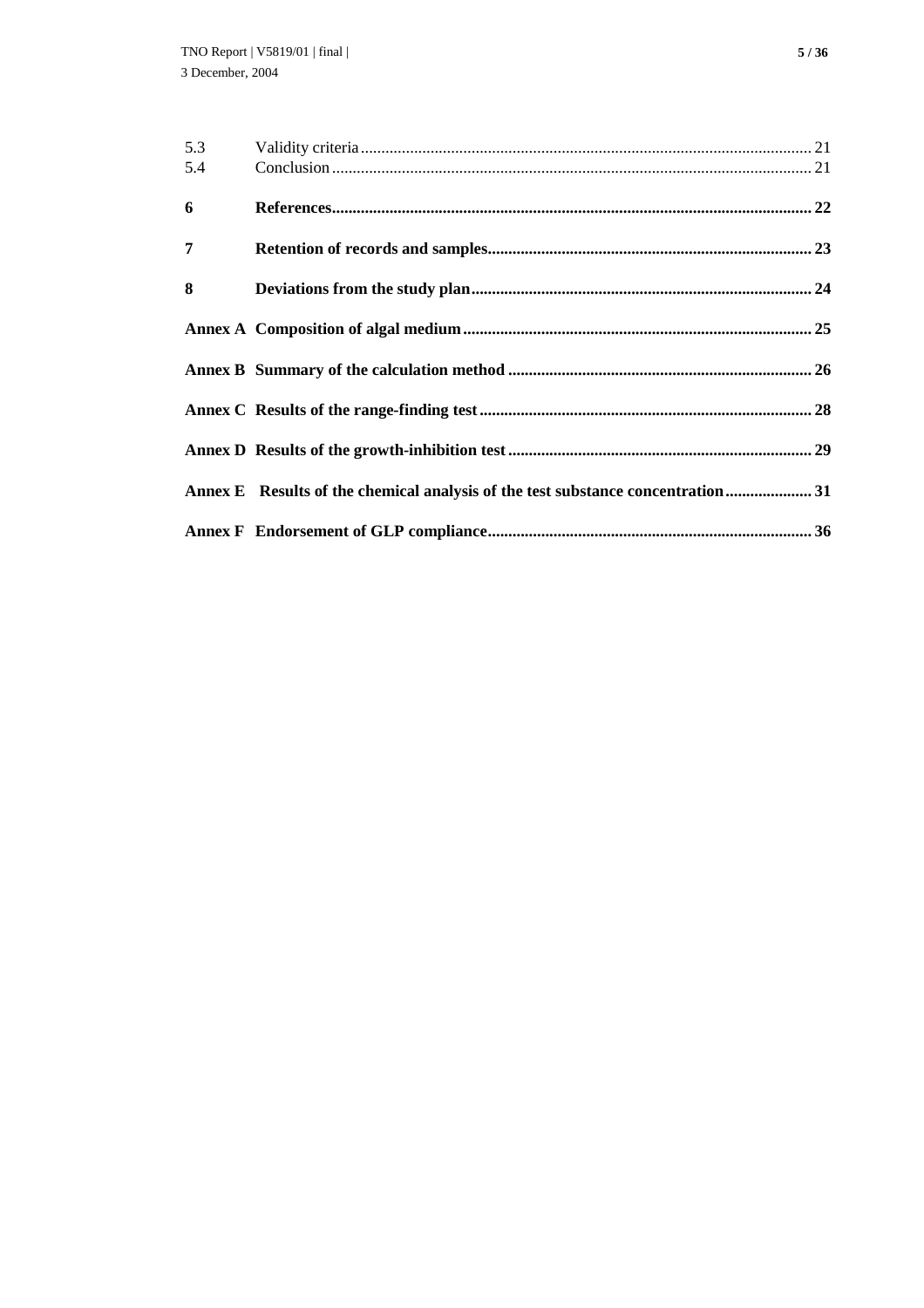| 5.3            |                                                                                  |  |
|----------------|----------------------------------------------------------------------------------|--|
| 5.4            |                                                                                  |  |
| 6              |                                                                                  |  |
| $\overline{7}$ |                                                                                  |  |
| 8              |                                                                                  |  |
|                |                                                                                  |  |
|                |                                                                                  |  |
|                |                                                                                  |  |
|                |                                                                                  |  |
|                | Annex E Results of the chemical analysis of the test substance concentration  31 |  |
|                |                                                                                  |  |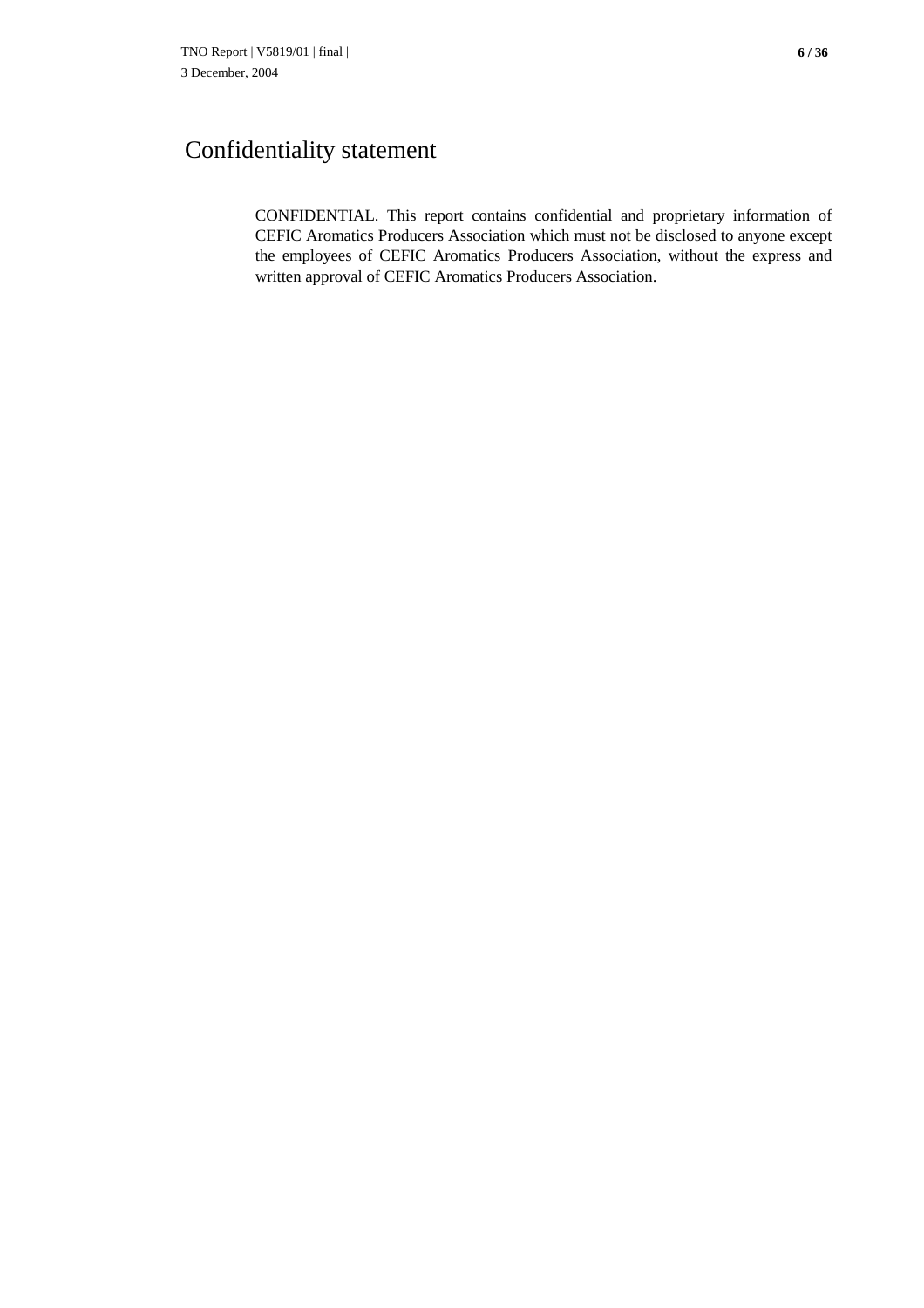# Confidentiality statement

CONFIDENTIAL. This report contains confidential and proprietary information of CEFIC Aromatics Producers Association which must not be disclosed to anyone except the employees of CEFIC Aromatics Producers Association, without the express and written approval of CEFIC Aromatics Producers Association.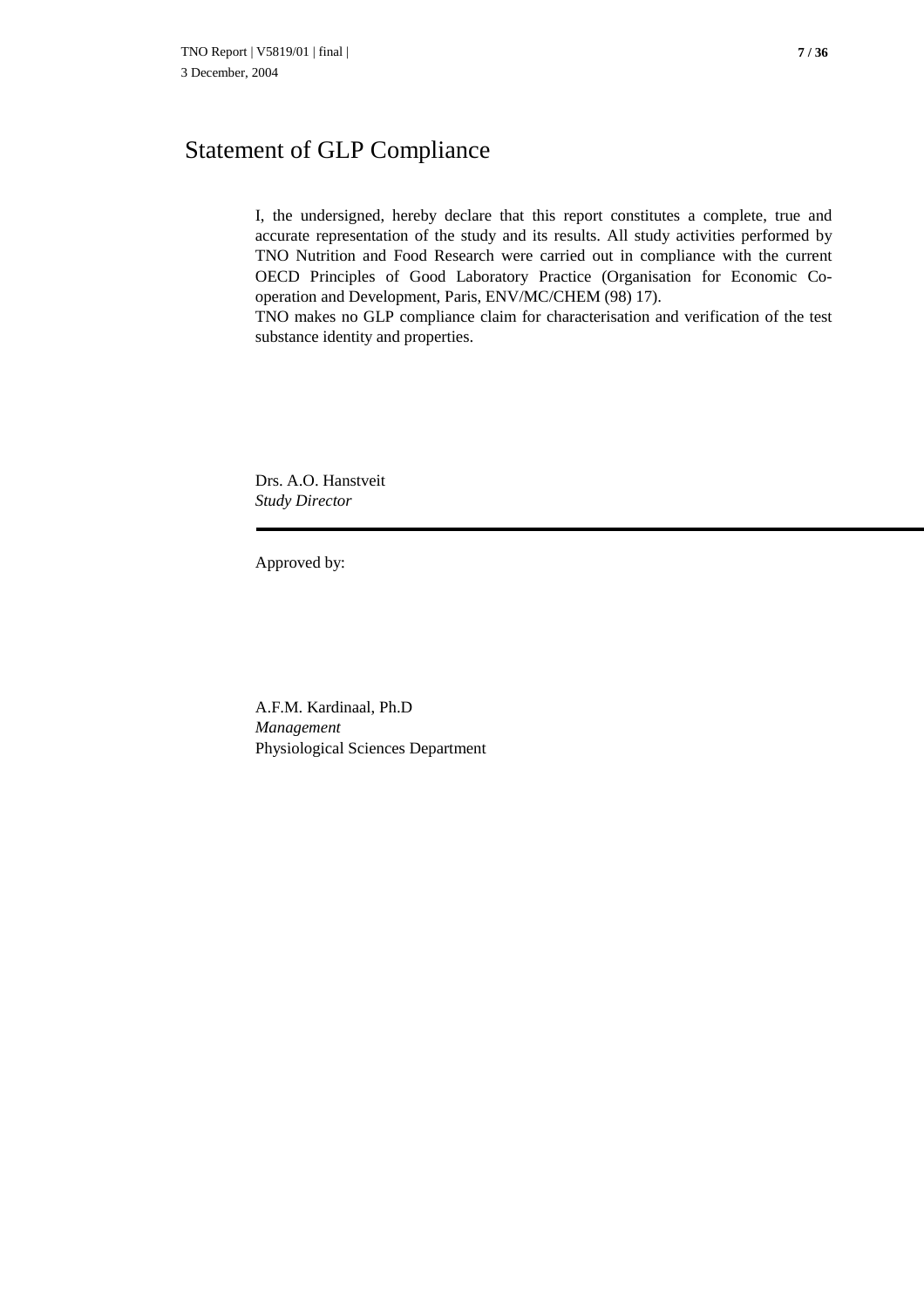## Statement of GLP Compliance

I, the undersigned, hereby declare that this report constitutes a complete, true and accurate representation of the study and its results. All study activities performed by TNO Nutrition and Food Research were carried out in compliance with the current OECD Principles of Good Laboratory Practice (Organisation for Economic Cooperation and Development, Paris, ENV/MC/CHEM (98) 17).

TNO makes no GLP compliance claim for characterisation and verification of the test substance identity and properties.

Drs. A.O. Hanstveit *Study Director*

Approved by:

A.F.M. Kardinaal, Ph.D *Management* Physiological Sciences Department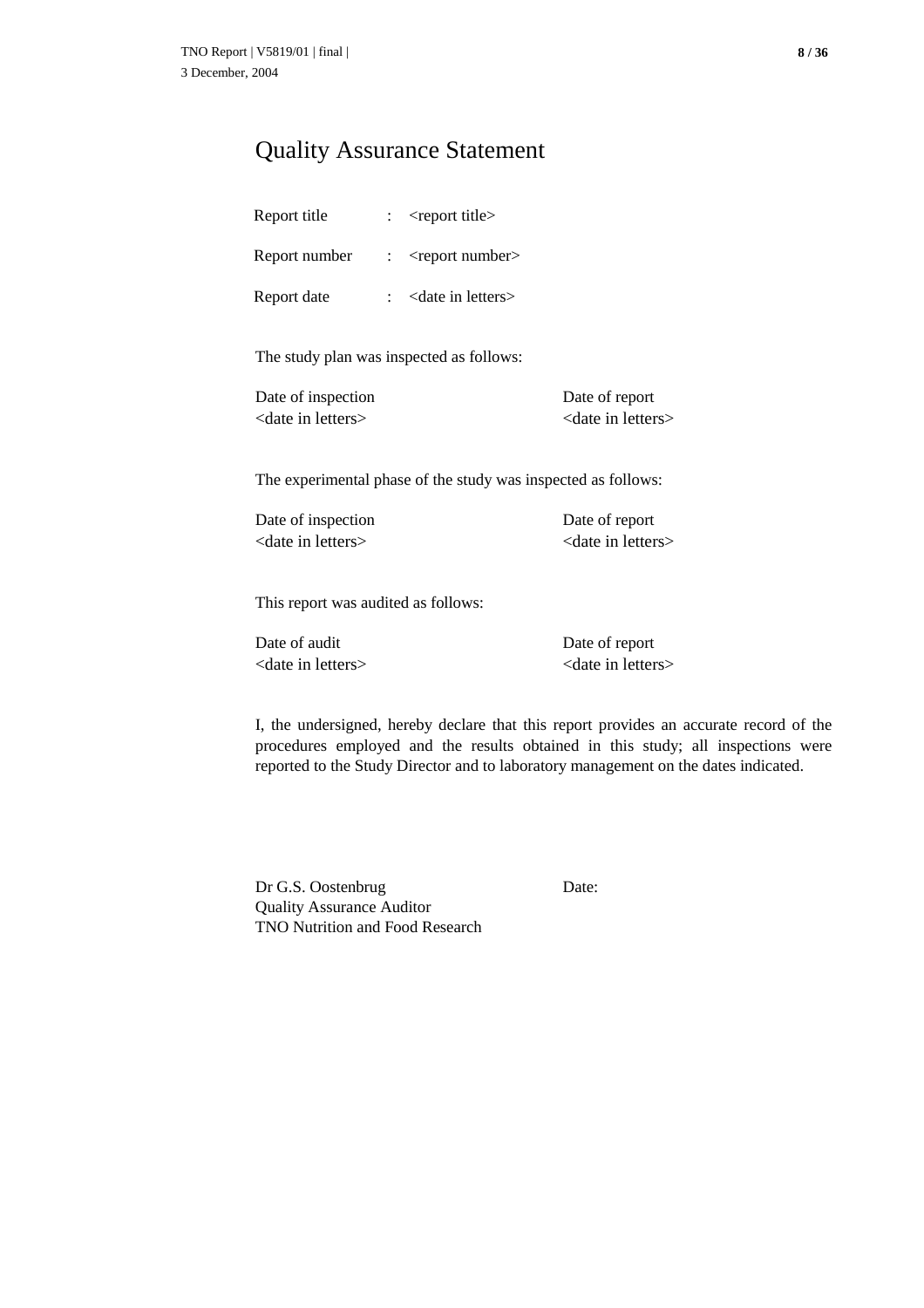### Quality Assurance Statement

| Report title  | <report title=""></report>     |
|---------------|--------------------------------|
| Report number | $<$ report number $>$          |
| Report date   | <date in="" letters=""></date> |

The study plan was inspected as follows:

| Date of inspection             | Date of report                 |
|--------------------------------|--------------------------------|
| <date in="" letters=""></date> | <date in="" letters=""></date> |

The experimental phase of the study was inspected as follows:

Date of inspection Date of report <date in letters>
<date in letters>
<date in letters

This report was audited as follows:

Date of audit Date of report <date in letters> <date in letters>

I, the undersigned, hereby declare that this report provides an accurate record of the procedures employed and the results obtained in this study; all inspections were reported to the Study Director and to laboratory management on the dates indicated.

Dr G.S. Oostenbrug Date: Quality Assurance Auditor TNO Nutrition and Food Research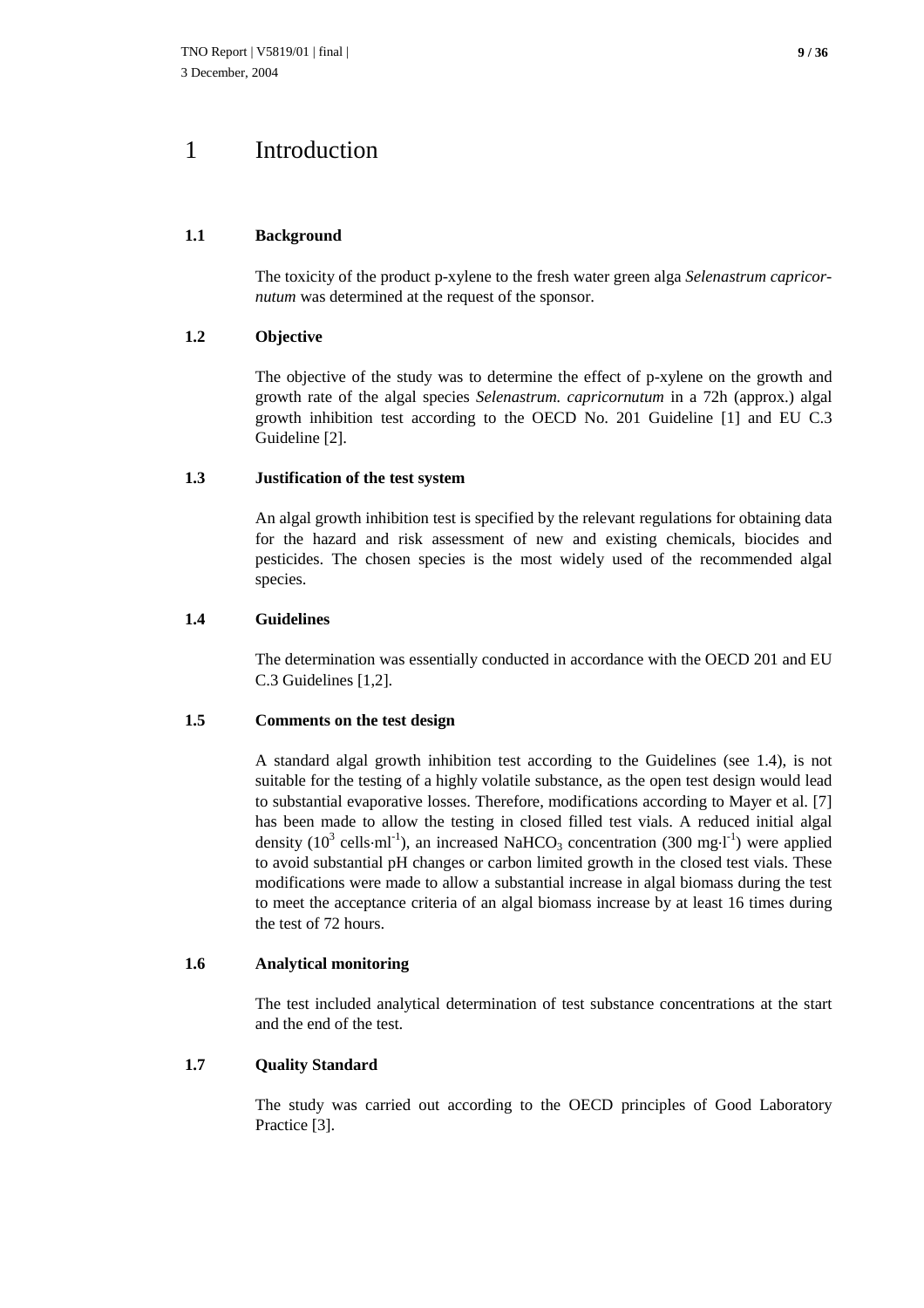### 1 Introduction

#### **1.1 Background**

The toxicity of the product p-xylene to the fresh water green alga *Selenastrum capricornutum* was determined at the request of the sponsor.

#### **1.2 Objective**

The objective of the study was to determine the effect of p-xylene on the growth and growth rate of the algal species *Selenastrum. capricornutum* in a 72h (approx.) algal growth inhibition test according to the OECD No. 201 Guideline [1] and EU C.3 Guideline [2].

#### **1.3 Justification of the test system**

An algal growth inhibition test is specified by the relevant regulations for obtaining data for the hazard and risk assessment of new and existing chemicals, biocides and pesticides. The chosen species is the most widely used of the recommended algal species.

#### **1.4 Guidelines**

The determination was essentially conducted in accordance with the OECD 201 and EU C.3 Guidelines [1,2].

#### **1.5 Comments on the test design**

A standard algal growth inhibition test according to the Guidelines (see 1.4), is not suitable for the testing of a highly volatile substance, as the open test design would lead to substantial evaporative losses. Therefore, modifications according to Mayer et al. [7] has been made to allow the testing in closed filled test vials. A reduced initial algal density (10<sup>3</sup> cells·ml<sup>-1</sup>), an increased NaHCO<sub>3</sub> concentration (300 mg·l<sup>-1</sup>) were applied to avoid substantial pH changes or carbon limited growth in the closed test vials. These modifications were made to allow a substantial increase in algal biomass during the test to meet the acceptance criteria of an algal biomass increase by at least 16 times during the test of 72 hours.

#### **1.6 Analytical monitoring**

The test included analytical determination of test substance concentrations at the start and the end of the test.

#### **1.7 Quality Standard**

The study was carried out according to the OECD principles of Good Laboratory Practice [3].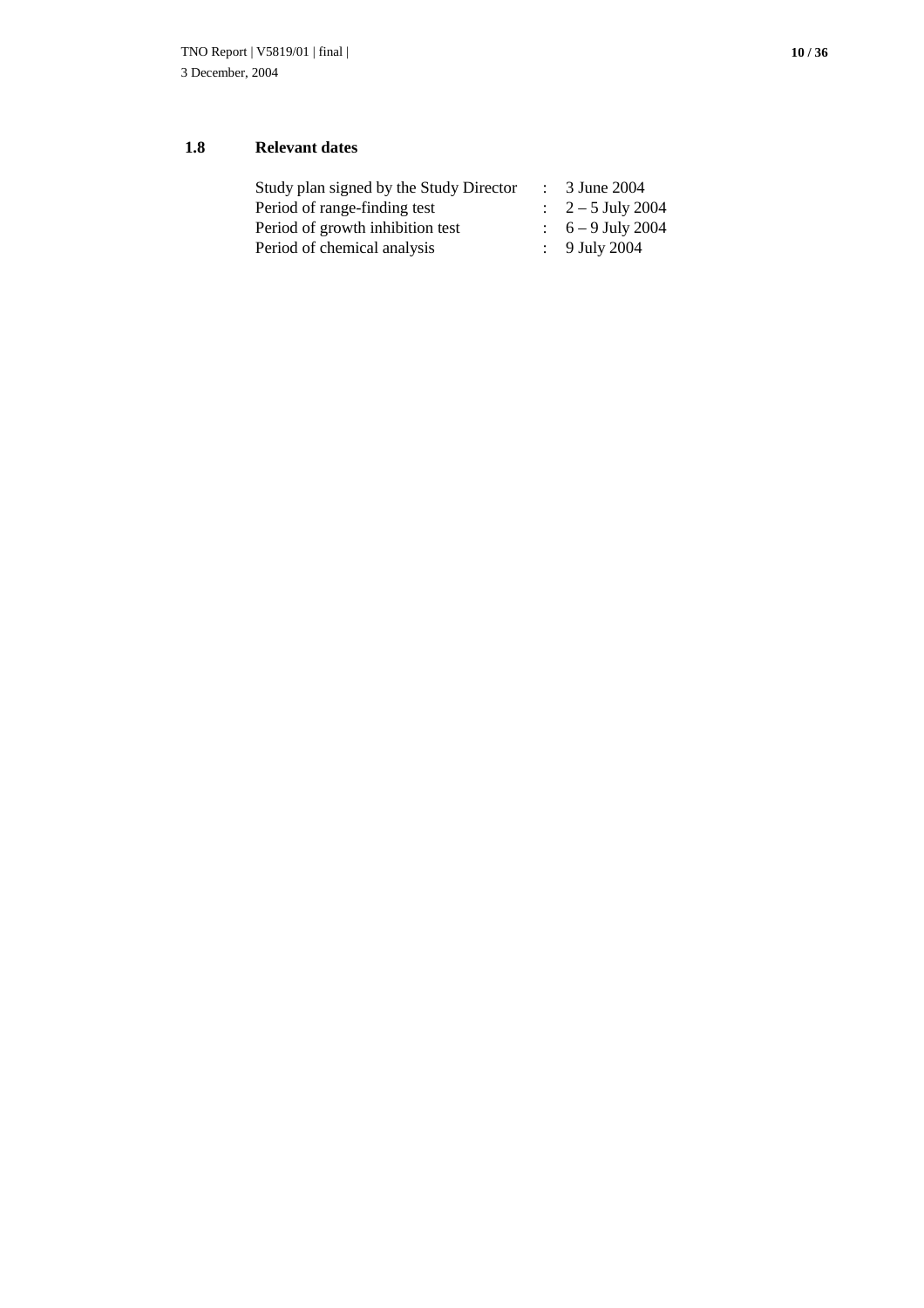#### **1.8 Relevant dates**

| Study plan signed by the Study Director | 3 June 2004                  |
|-----------------------------------------|------------------------------|
| Period of range-finding test            | $\therefore$ 2 – 5 July 2004 |
| Period of growth inhibition test        | $\therefore$ 6 – 9 July 2004 |
| Period of chemical analysis             | : 9 July 2004                |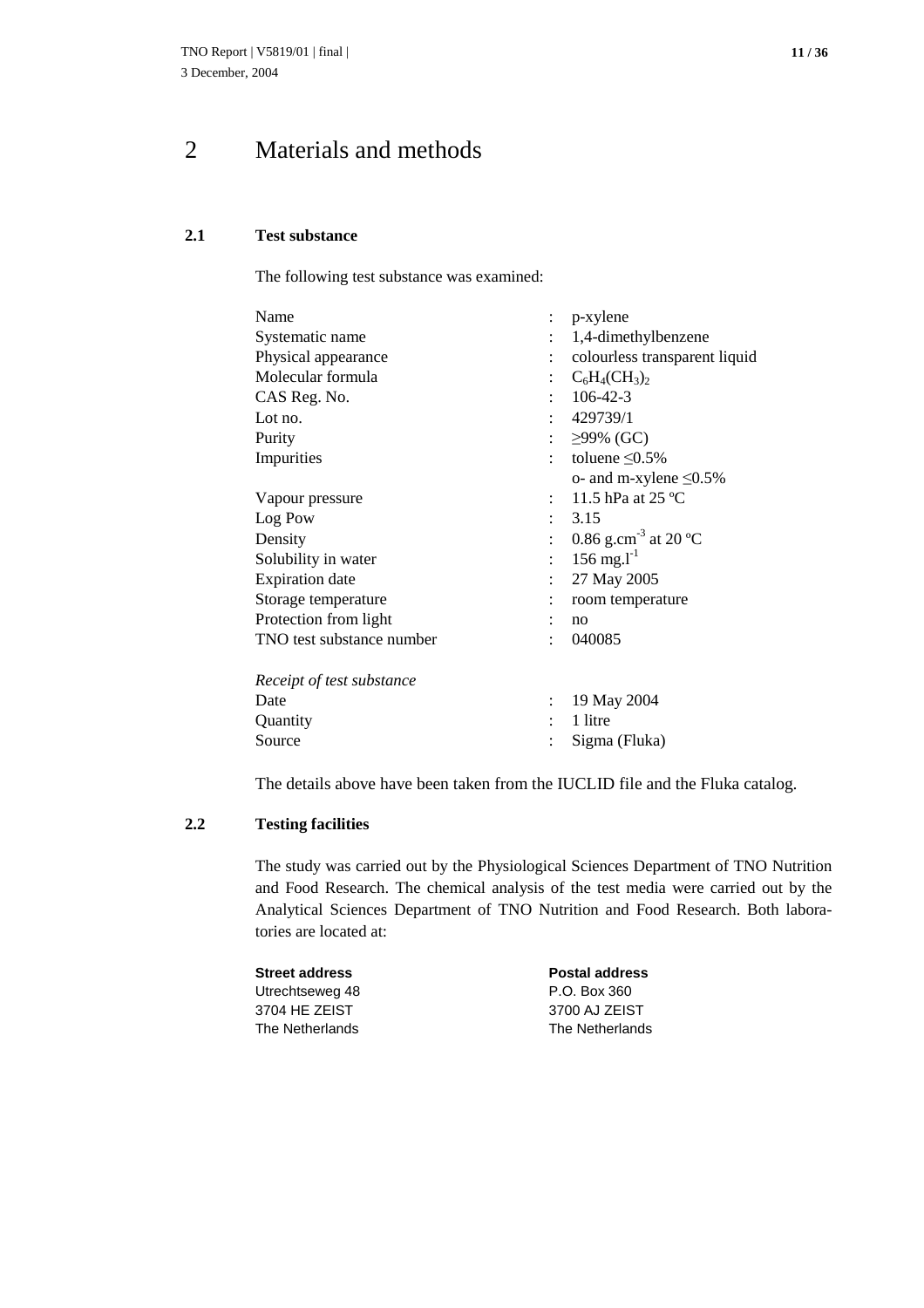# 2 Materials and methods

#### **2.1 Test substance**

The following test substance was examined:

| Name                      |   | p-xylene                         |
|---------------------------|---|----------------------------------|
| Systematic name           |   | 1,4-dimethylbenzene              |
| Physical appearance       |   | colourless transparent liquid    |
| Molecular formula         |   | $C_6H_4CH_3)_2$                  |
| CAS Reg. No.              |   | $106 - 42 - 3$                   |
| Lot no.                   |   | 429739/1                         |
|                           |   | : $\geq$ 99% (GC)                |
| Purity                    |   |                                  |
| Impurities                |   | toluene $\leq 0.5\%$             |
|                           |   | o- and m-xylene $\leq 0.5\%$     |
| Vapour pressure           |   | 11.5 hPa at $25^{\circ}$ C       |
| Log Pow                   |   | 3.15                             |
| Density                   |   | 0.86 g.cm <sup>-3</sup> at 20 °C |
| Solubility in water       | ۰ | $156 \text{ mg.} l^{-1}$         |
| <b>Expiration</b> date    |   | 27 May 2005                      |
| Storage temperature       |   | room temperature                 |
| Protection from light     |   | no                               |
| TNO test substance number |   | 040085                           |
| Receipt of test substance |   |                                  |
| Date                      |   | 19 May 2004                      |
| Quantity                  |   | 1 litre                          |
| Source                    |   | Sigma (Fluka)                    |
|                           |   |                                  |

The details above have been taken from the IUCLID file and the Fluka catalog.

#### **2.2 Testing facilities**

The study was carried out by the Physiological Sciences Department of TNO Nutrition and Food Research. The chemical analysis of the test media were carried out by the Analytical Sciences Department of TNO Nutrition and Food Research. Both laboratories are located at:

| Street address  | <b>Postal address</b> |
|-----------------|-----------------------|
| Utrechtseweg 48 | P.O. Box 360          |
| 3704 HE ZEIST   | 3700 AJ ZEIST         |
| The Netherlands | The Netherlands       |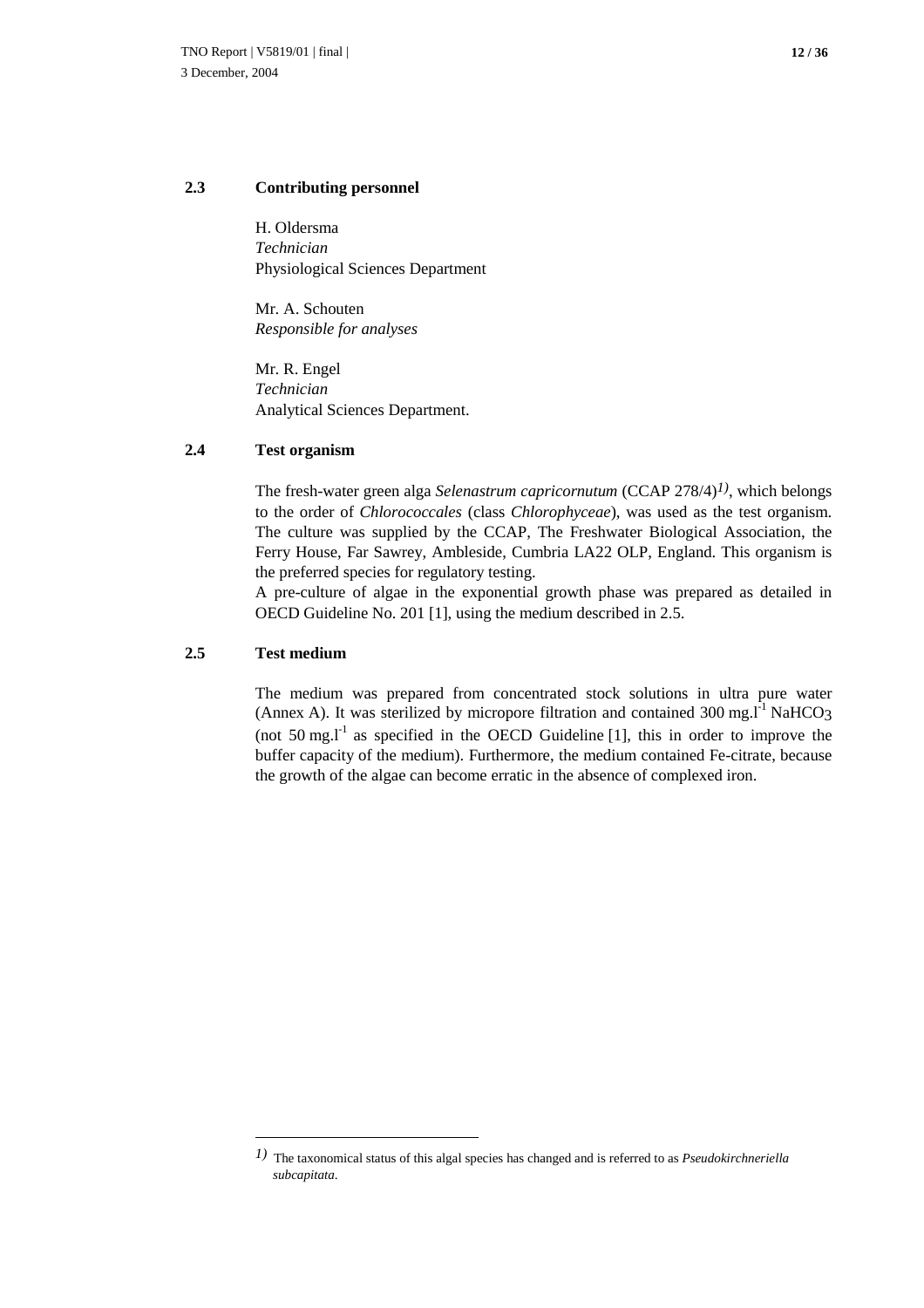#### **2.3 Contributing personnel**

H. Oldersma *Technician* Physiological Sciences Department

Mr. A. Schouten *Responsible for analyses*

Mr. R. Engel *Technician* Analytical Sciences Department.

#### **2.4 Test organism**

The fresh-water green alga *Selenastrum capricornutum* (CCAP 278/4)*1)*, which belongs to the order of *Chlorococcales* (class *Chlorophyceae*), was used as the test organism. The culture was supplied by the CCAP, The Freshwater Biological Association, the Ferry House, Far Sawrey, Ambleside, Cumbria LA22 OLP, England. This organism is the preferred species for regulatory testing.

A pre-culture of algae in the exponential growth phase was prepared as detailed in OECD Guideline No. 201 [1], using the medium described in 2.5.

#### **2.5 Test medium**

The medium was prepared from concentrated stock solutions in ultra pure water (Annex A). It was sterilized by micropore filtration and contained 300 mg. $I<sup>-1</sup>$  NaHCO<sub>3</sub> (not 50 mg. $I^1$  as specified in the OECD Guideline [1], this in order to improve the buffer capacity of the medium). Furthermore, the medium contained Fe-citrate, because the growth of the algae can become erratic in the absence of complexed iron.

*<sup>1)</sup>* The taxonomical status of this algal species has changed and is referred to as *Pseudokirchneriella subcapitata*.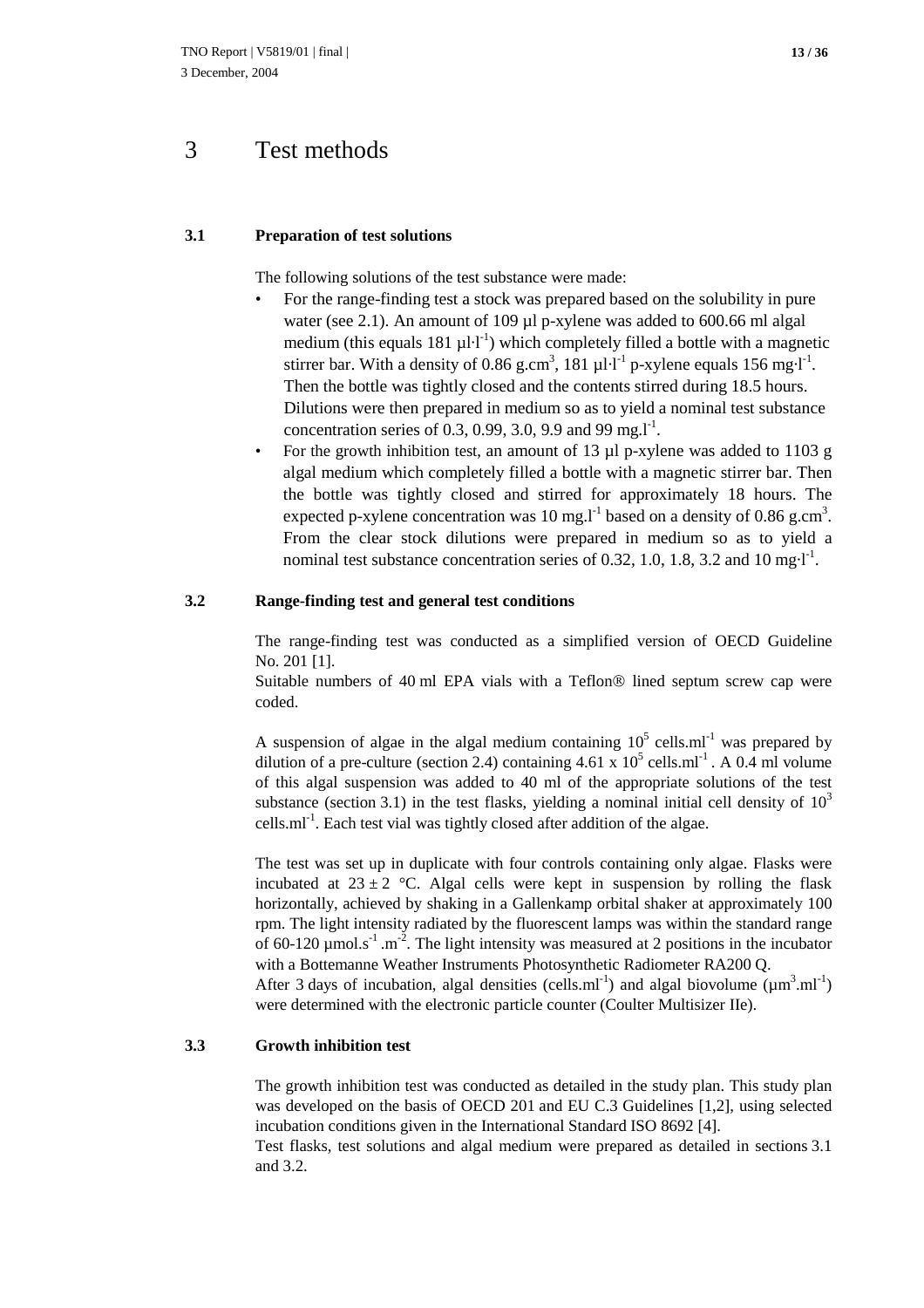### 3 Test methods

#### **3.1 Preparation of test solutions**

The following solutions of the test substance were made:

- For the range-finding test a stock was prepared based on the solubility in pure water (see 2.1). An amount of 109 µl p-xylene was added to 600.66 ml algal medium (this equals 181  $\mu$ l·l<sup>-1</sup>) which completely filled a bottle with a magnetic stirrer bar. With a density of 0.86 g.cm<sup>3</sup>, 181  $\mu l \cdot l^{-1}$  p-xylene equals 156 mg $\cdot l^{-1}$ . Then the bottle was tightly closed and the contents stirred during 18.5 hours. Dilutions were then prepared in medium so as to yield a nominal test substance concentration series of 0.3, 0.99, 3.0, 9.9 and 99 mg.l<sup>-1</sup>.
- For the growth inhibition test, an amount of 13 ul p-xylene was added to 1103 g. algal medium which completely filled a bottle with a magnetic stirrer bar. Then the bottle was tightly closed and stirred for approximately 18 hours. The expected p-xylene concentration was 10 mg.<sup>1-1</sup> based on a density of 0.86 g.cm<sup>3</sup>. From the clear stock dilutions were prepared in medium so as to yield a nominal test substance concentration series of 0.32, 1.0, 1.8, 3.2 and 10 mg·l<sup>-1</sup>.

#### **3.2 Range-finding test and general test conditions**

The range-finding test was conducted as a simplified version of OECD Guideline No. 201 [1].

Suitable numbers of 40 ml EPA vials with a Teflon® lined septum screw cap were coded.

A suspension of algae in the algal medium containing  $10^5$  cells.ml<sup>-1</sup> was prepared by dilution of a pre-culture (section 2.4) containing  $4.61 \times 10^5$  cells.ml<sup>-1</sup>. A 0.4 ml volume of this algal suspension was added to 40 ml of the appropriate solutions of the test substance (section 3.1) in the test flasks, yielding a nominal initial cell density of  $10<sup>3</sup>$ cells. $ml^{-1}$ . Each test vial was tightly closed after addition of the algae.

The test was set up in duplicate with four controls containing only algae. Flasks were incubated at  $23 \pm 2$  °C. Algal cells were kept in suspension by rolling the flask horizontally, achieved by shaking in a Gallenkamp orbital shaker at approximately 100 rpm. The light intensity radiated by the fluorescent lamps was within the standard range of 60-120  $\mu$ mol.s<sup>-1</sup> .m<sup>-2</sup>. The light intensity was measured at 2 positions in the incubator with a Bottemanne Weather Instruments Photosynthetic Radiometer RA200 Q. After 3 days of incubation, algal densities (cells.ml<sup>-1</sup>) and algal biovolume ( $\mu$ m<sup>3</sup>.ml<sup>-1</sup>) were determined with the electronic particle counter (Coulter Multisizer IIe).

#### **3.3 Growth inhibition test**

The growth inhibition test was conducted as detailed in the study plan. This study plan was developed on the basis of OECD 201 and EU C.3 Guidelines [1,2], using selected incubation conditions given in the International Standard ISO 8692 [4].

Test flasks, test solutions and algal medium were prepared as detailed in sections 3.1 and 3.2.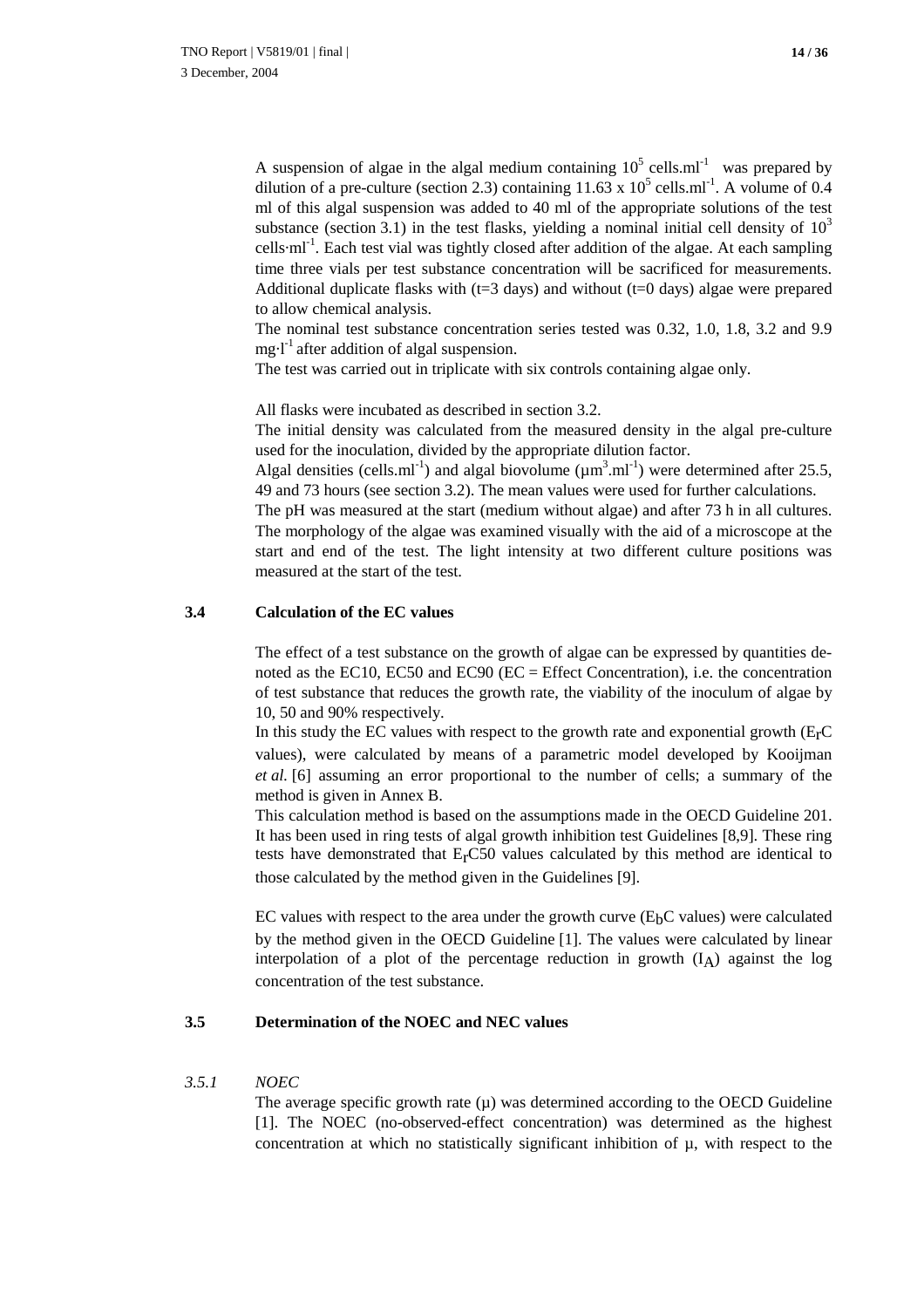A suspension of algae in the algal medium containing  $10^5$  cells.ml<sup>-1</sup> was prepared by dilution of a pre-culture (section 2.3) containing  $11.63 \times 10^5$  cells.ml<sup>-1</sup>. A volume of 0.4 ml of this algal suspension was added to 40 ml of the appropriate solutions of the test substance (section 3.1) in the test flasks, yielding a nominal initial cell density of  $10<sup>3</sup>$ cells $\cdot$ ml<sup>-1</sup>. Each test vial was tightly closed after addition of the algae. At each sampling time three vials per test substance concentration will be sacrificed for measurements. Additional duplicate flasks with  $(t=3$  days) and without  $(t=0$  days) algae were prepared to allow chemical analysis.

The nominal test substance concentration series tested was 0.32, 1.0, 1.8, 3.2 and 9.9 mg $\cdot$ l<sup>-1</sup> after addition of algal suspension.

The test was carried out in triplicate with six controls containing algae only.

All flasks were incubated as described in section 3.2.

The initial density was calculated from the measured density in the algal pre-culture used for the inoculation, divided by the appropriate dilution factor.

Algal densities (cells.ml<sup>-1</sup>) and algal biovolume ( $\mu$ m<sup>3</sup>.ml<sup>-1</sup>) were determined after 25.5, 49 and 73 hours (see section 3.2). The mean values were used for further calculations.

The pH was measured at the start (medium without algae) and after 73 h in all cultures. The morphology of the algae was examined visually with the aid of a microscope at the start and end of the test. The light intensity at two different culture positions was measured at the start of the test.

#### **3.4 Calculation of the EC values**

The effect of a test substance on the growth of algae can be expressed by quantities denoted as the EC10, EC50 and EC90 (EC = Effect Concentration), i.e. the concentration of test substance that reduces the growth rate, the viability of the inoculum of algae by 10, 50 and 90% respectively.

In this study the EC values with respect to the growth rate and exponential growth  $(E<sub>r</sub>C)$ values), were calculated by means of a parametric model developed by Kooijman *et al.* [6] assuming an error proportional to the number of cells; a summary of the method is given in Annex B.

This calculation method is based on the assumptions made in the OECD Guideline 201. It has been used in ring tests of algal growth inhibition test Guidelines [8,9]. These ring tests have demonstrated that  $E<sub>r</sub>CS0$  values calculated by this method are identical to those calculated by the method given in the Guidelines [9].

EC values with respect to the area under the growth curve  $(E<sub>b</sub>C$  values) were calculated by the method given in the OECD Guideline [1]. The values were calculated by linear interpolation of a plot of the percentage reduction in growth  $(I_A)$  against the log concentration of the test substance.

#### **3.5 Determination of the NOEC and NEC values**

#### *3.5.1 NOEC*

The average specific growth rate  $(\mu)$  was determined according to the OECD Guideline [1]. The NOEC (no-observed-effect concentration) was determined as the highest concentration at which no statistically significant inhibition of  $\mu$ , with respect to the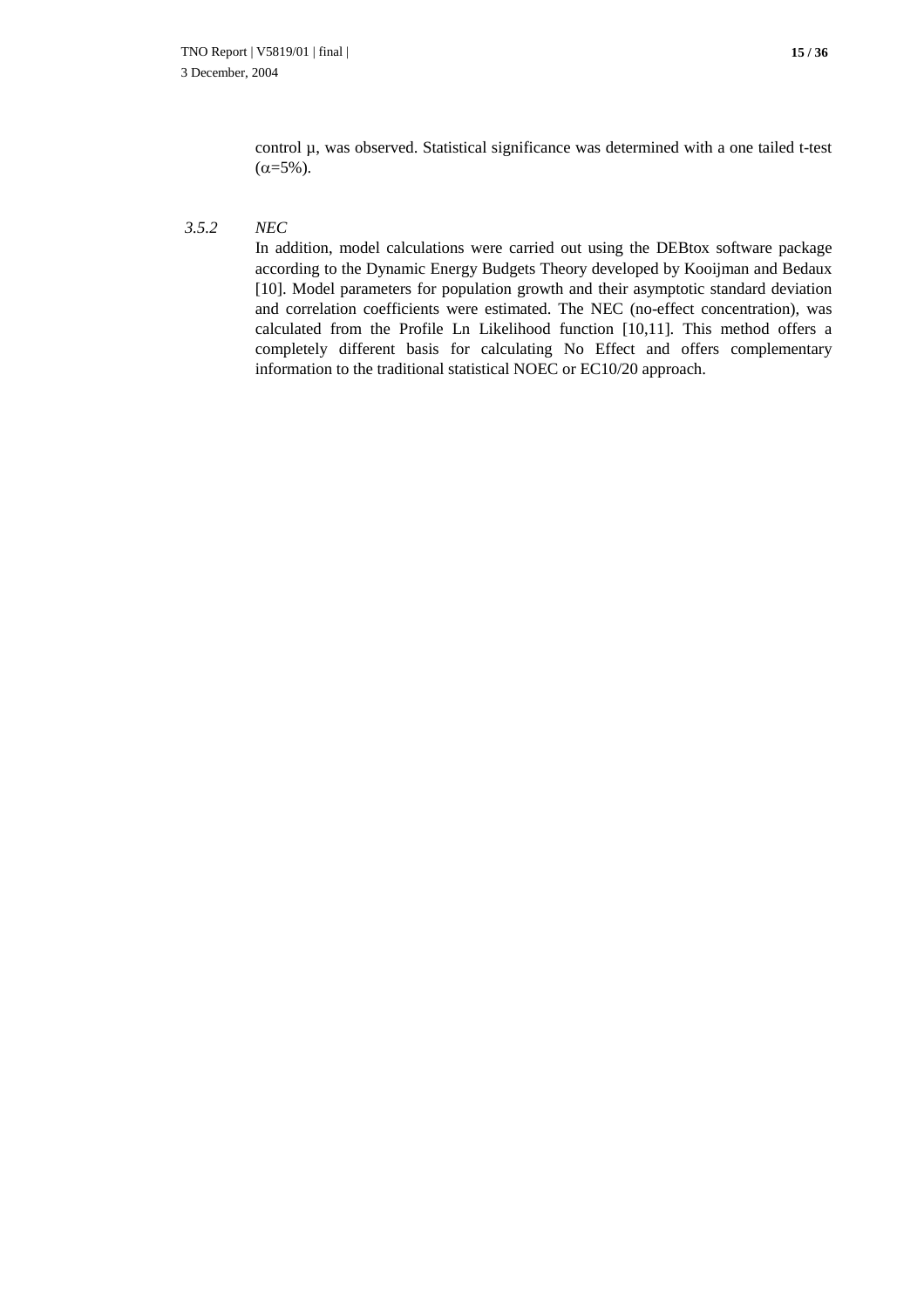control µ, was observed. Statistical significance was determined with a one tailed t-test  $(\alpha = 5\%)$ .

#### *3.5.2 NEC*

In addition, model calculations were carried out using the DEBtox software package according to the Dynamic Energy Budgets Theory developed by Kooijman and Bedaux [10]. Model parameters for population growth and their asymptotic standard deviation and correlation coefficients were estimated. The NEC (no-effect concentration), was calculated from the Profile Ln Likelihood function [10,11]. This method offers a completely different basis for calculating No Effect and offers complementary information to the traditional statistical NOEC or EC10/20 approach.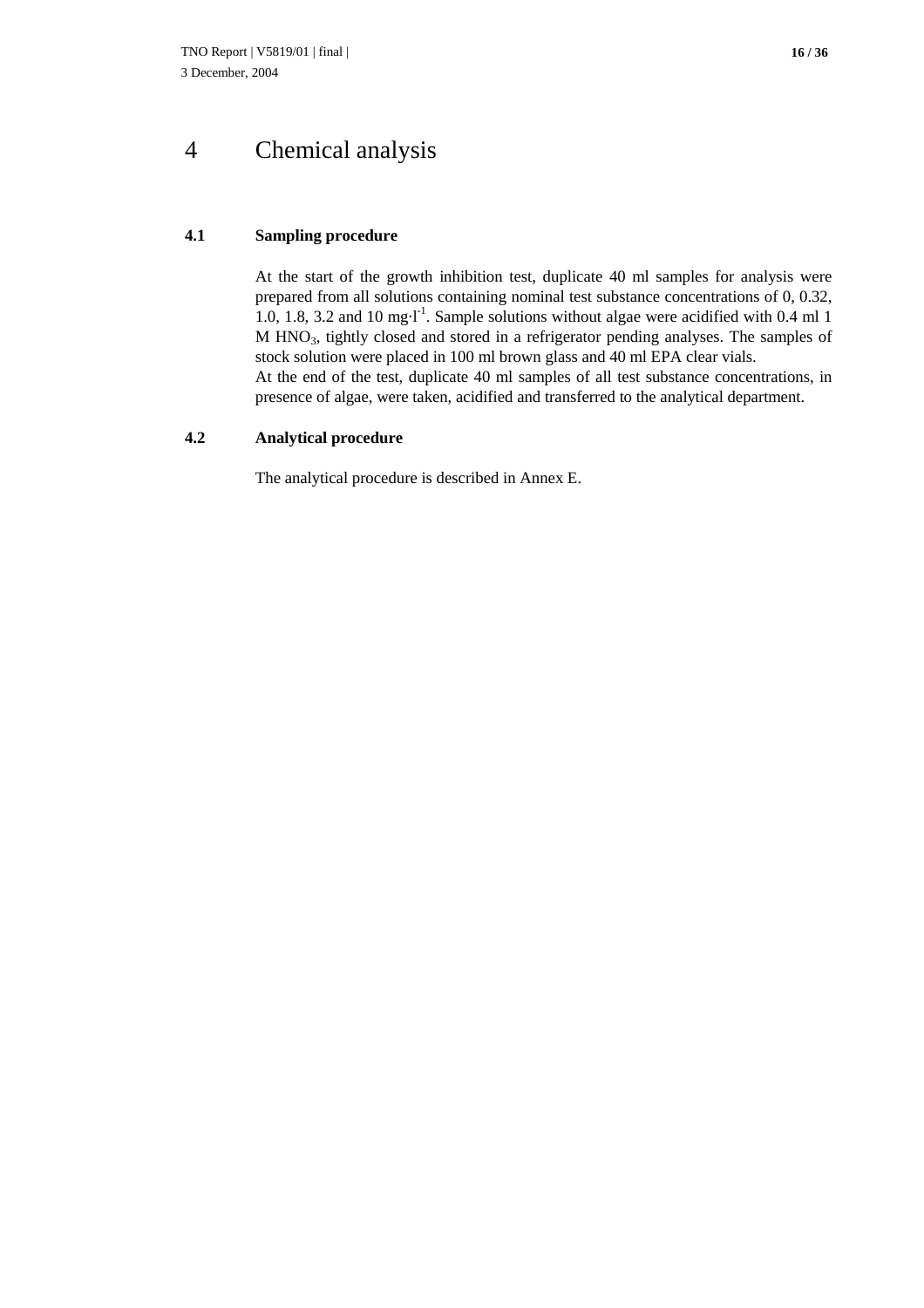## 4 Chemical analysis

#### **4.1 Sampling procedure**

At the start of the growth inhibition test, duplicate 40 ml samples for analysis were prepared from all solutions containing nominal test substance concentrations of 0, 0.32, 1.0, 1.8, 3.2 and 10 mg $\cdot$ <sup>1</sup>. Sample solutions without algae were acidified with 0.4 ml 1 M HNO3, tightly closed and stored in a refrigerator pending analyses. The samples of stock solution were placed in 100 ml brown glass and 40 ml EPA clear vials. At the end of the test, duplicate 40 ml samples of all test substance concentrations, in presence of algae, were taken, acidified and transferred to the analytical department.

#### **4.2 Analytical procedure**

The analytical procedure is described in Annex E.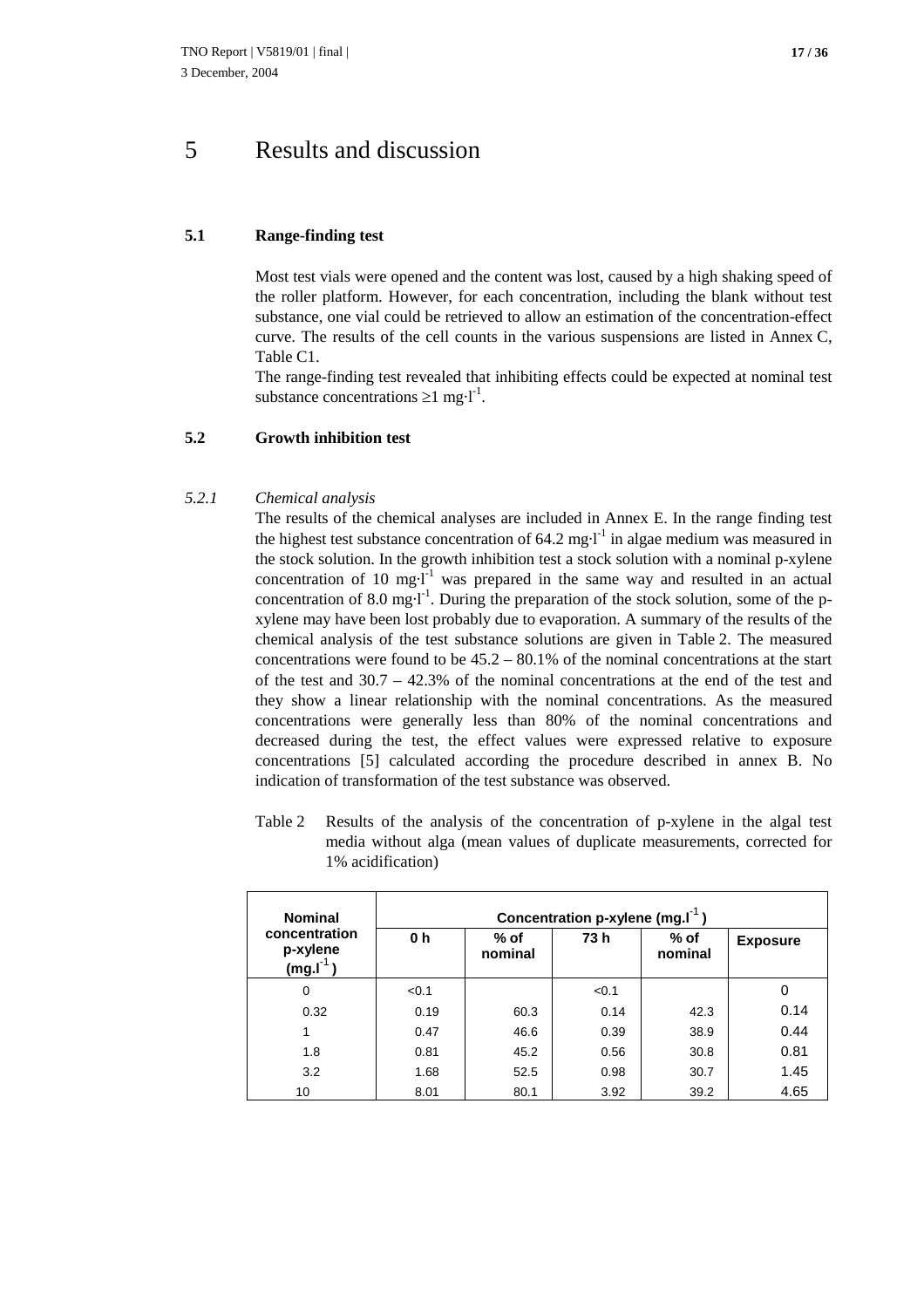### 5 Results and discussion

#### **5.1 Range-finding test**

Most test vials were opened and the content was lost, caused by a high shaking speed of the roller platform. However, for each concentration, including the blank without test substance, one vial could be retrieved to allow an estimation of the concentration-effect curve. The results of the cell counts in the various suspensions are listed in Annex C, Table C1.

The range-finding test revealed that inhibiting effects could be expected at nominal test substance concentrations  $\geq 1$  mg·l<sup>-1</sup>.

#### **5.2 Growth inhibition test**

#### *5.2.1 Chemical analysis*

The results of the chemical analyses are included in Annex E. In the range finding test the highest test substance concentration of  $64.2 \text{ mg-l}^1$  in algae medium was measured in the stock solution. In the growth inhibition test a stock solution with a nominal p-xylene concentration of 10 mg·l<sup>-1</sup> was prepared in the same way and resulted in an actual concentration of 8.0 mg·l<sup>-1</sup>. During the preparation of the stock solution, some of the pxylene may have been lost probably due to evaporation. A summary of the results of the chemical analysis of the test substance solutions are given in Table 2. The measured concentrations were found to be  $45.2 - 80.1\%$  of the nominal concentrations at the start of the test and  $30.7 - 42.3\%$  of the nominal concentrations at the end of the test and they show a linear relationship with the nominal concentrations. As the measured concentrations were generally less than 80% of the nominal concentrations and decreased during the test, the effect values were expressed relative to exposure concentrations [5] calculated according the procedure described in annex B. No indication of transformation of the test substance was observed.

Table 2 Results of the analysis of the concentration of p-xylene in the algal test media without alga (mean values of duplicate measurements, corrected for 1% acidification)

| <b>Nominal</b>                          | Concentration p-xylene (mg.I <sup>-1</sup> ) |                   |       |                   |                 |
|-----------------------------------------|----------------------------------------------|-------------------|-------|-------------------|-----------------|
| concentration<br>p-xylene<br>$(mg.l^1)$ | 0 h                                          | $%$ of<br>nominal | 73 h  | $%$ of<br>nominal | <b>Exposure</b> |
| 0                                       | < 0.1                                        |                   | < 0.1 |                   |                 |
| 0.32                                    | 0.19                                         | 60.3              | 0.14  | 42.3              | 0.14            |
|                                         | 0.47                                         | 46.6              | 0.39  | 38.9              | 0.44            |
| 1.8                                     | 0.81                                         | 45.2              | 0.56  | 30.8              | 0.81            |
| 3.2                                     | 1.68                                         | 52.5              | 0.98  | 30.7              | 1.45            |
| 10                                      | 8.01                                         | 80.1              | 3.92  | 39.2              | 4.65            |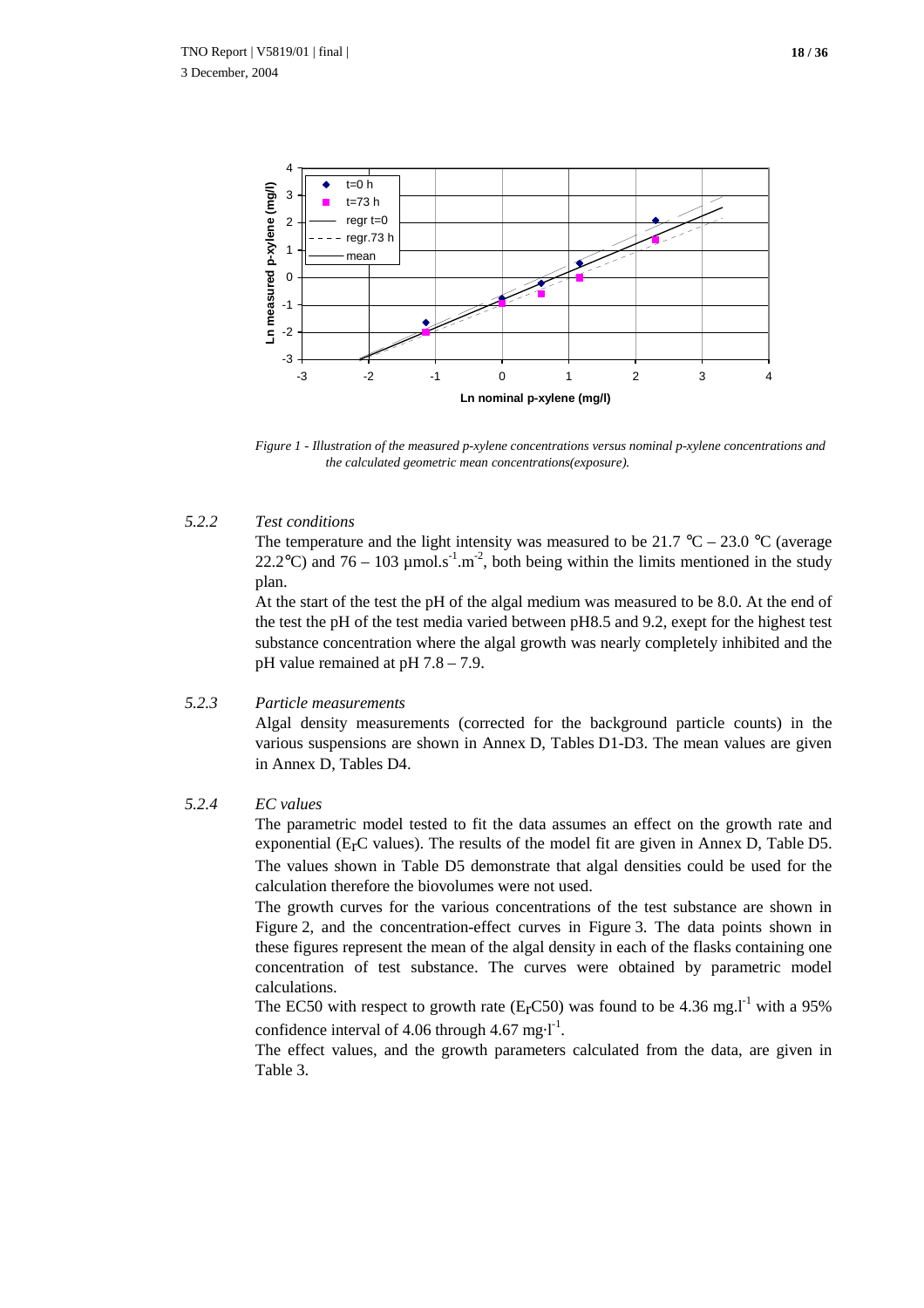

*Figure 1 - Illustration of the measured p-xylene concentrations versus nominal p-xylene concentrations and the calculated geometric mean concentrations(exposure).*

#### *5.2.2 Test conditions*

The temperature and the light intensity was measured to be 21.7 °C – 23.0 °C (average 22.2°C) and 76 – 103  $\mu$ mol.s<sup>-1</sup>.m<sup>-2</sup>, both being within the limits mentioned in the study plan.

At the start of the test the pH of the algal medium was measured to be 8.0. At the end of the test the pH of the test media varied between pH8.5 and 9.2, exept for the highest test substance concentration where the algal growth was nearly completely inhibited and the pH value remained at pH 7.8 – 7.9.

#### *5.2.3 Particle measurements*

Algal density measurements (corrected for the background particle counts) in the various suspensions are shown in Annex D, Tables D1-D3. The mean values are given in Annex D, Tables D4.

#### *5.2.4 EC values*

The parametric model tested to fit the data assumes an effect on the growth rate and exponential ( $E<sub>r</sub>C$  values). The results of the model fit are given in Annex D, Table D5. The values shown in Table D5 demonstrate that algal densities could be used for the calculation therefore the biovolumes were not used.

The growth curves for the various concentrations of the test substance are shown in Figure 2, and the concentration-effect curves in Figure 3. The data points shown in these figures represent the mean of the algal density in each of the flasks containing one concentration of test substance. The curves were obtained by parametric model calculations.

The EC50 with respect to growth rate ( $E<sub>r</sub>$ C50) was found to be 4.36 mg.l<sup>-1</sup> with a 95% confidence interval of 4.06 through 4.67 mg $\cdot$ l<sup>-1</sup>.

The effect values, and the growth parameters calculated from the data, are given in Table 3.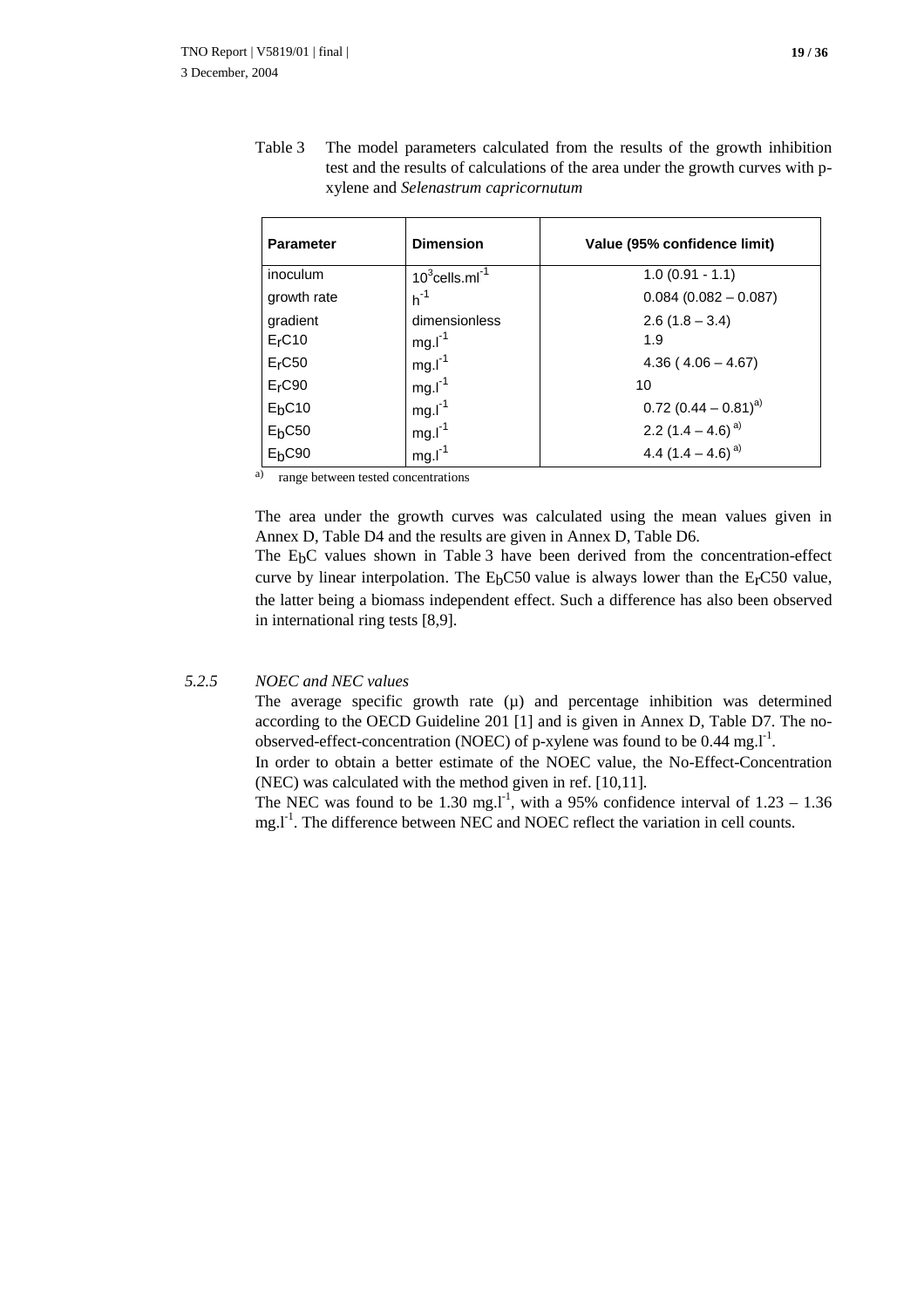| <b>Parameter</b>   | <b>Dimension</b>        | Value (95% confidence limit)       |
|--------------------|-------------------------|------------------------------------|
| inoculum           | $10^3$ cells.ml $^{-1}$ | $1.0(0.91 - 1.1)$                  |
| growth rate        | $h^{-1}$                | $0.084$ (0.082 - 0.087)            |
| gradient           | dimensionless           | $2.6(1.8 - 3.4)$                   |
| E <sub>r</sub> C10 | $mg.l^{-1}$             | 1.9                                |
| $Er$ C50           | $mg.l^{-1}$             | $4.36(4.06 - 4.67)$                |
| E <sub>r</sub> C90 | $mg.l^{-1}$             | 10                                 |
| E <sub>b</sub> C10 | $mg.l^{-1}$             | $0.72$ (0.44 – 0.81) <sup>a)</sup> |
| $Eb$ C50           | $mg.l^{-1}$             | 2.2 $(1.4 - 4.6)^{a}$              |
| $Eb$ C90           | $mg.l-1$                | 4.4 $(1.4 - 4.6)^{a}$              |

Table 3 The model parameters calculated from the results of the growth inhibition test and the results of calculations of the area under the growth curves with pxylene and *Selenastrum capricornutum*

a) range between tested concentrations

The area under the growth curves was calculated using the mean values given in Annex D, Table D4 and the results are given in Annex D, Table D6.

The E<sub>b</sub>C values shown in Table 3 have been derived from the concentration-effect curve by linear interpolation. The  $E_bC50$  value is always lower than the  $E_cC50$  value, the latter being a biomass independent effect. Such a difference has also been observed in international ring tests [8,9].

#### *5.2.5 NOEC and NEC values*

The average specific growth rate  $(\mu)$  and percentage inhibition was determined according to the OECD Guideline 201 [1] and is given in Annex D, Table D7. The noobserved-effect-concentration (NOEC) of p-xylene was found to be  $0.44 \text{ mg.l}^{-1}$ .

In order to obtain a better estimate of the NOEC value, the No-Effect-Concentration (NEC) was calculated with the method given in ref. [10,11].

The NEC was found to be 1.30 mg.<sup>11</sup>, with a 95% confidence interval of  $1.23 - 1.36$  $mg.I<sup>-1</sup>$ . The difference between NEC and NOEC reflect the variation in cell counts.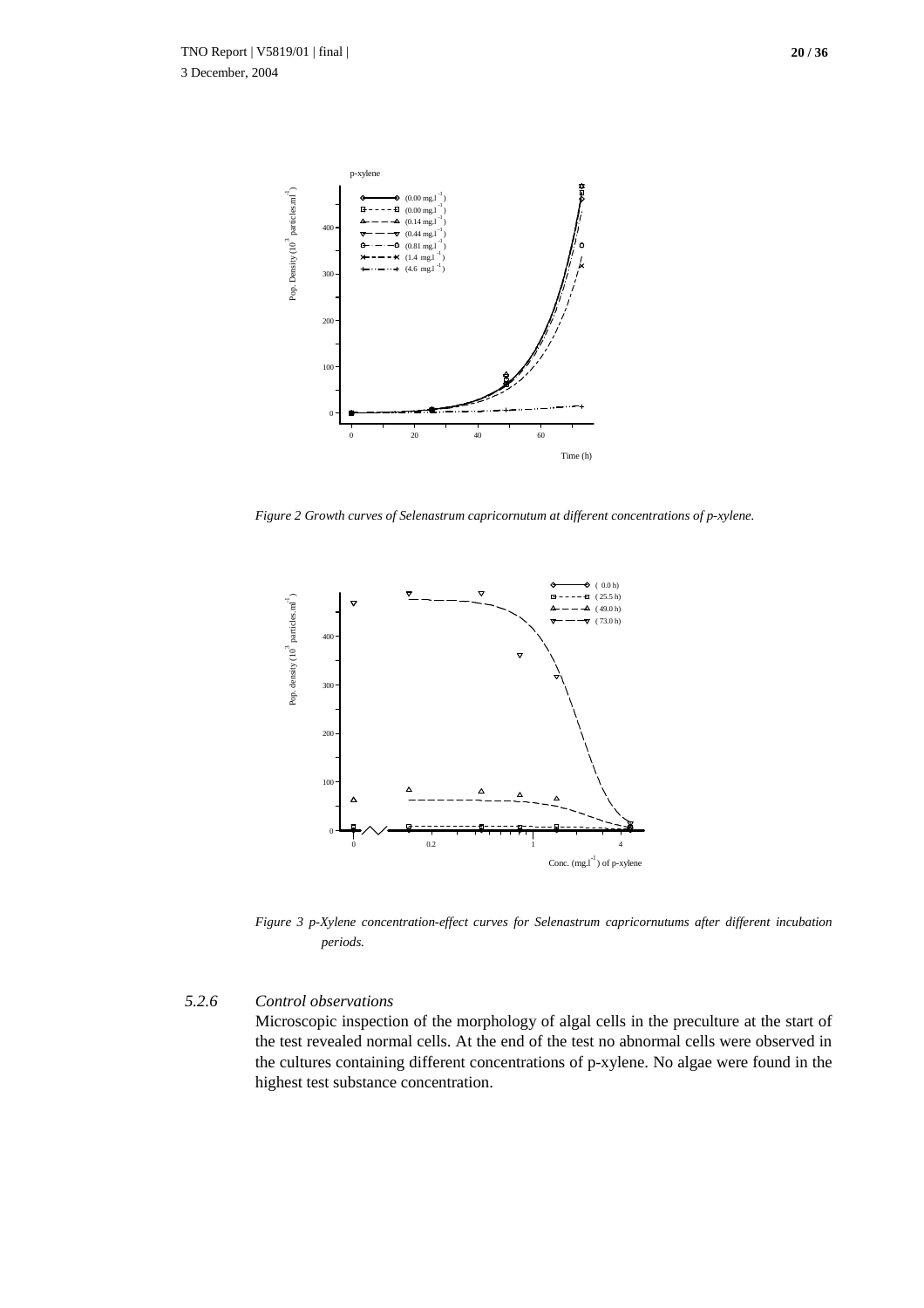

*Figure 2 Growth curves of Selenastrum capricornutum at different concentrations of p-xylene.*



*Figure 3 p-Xylene concentration-effect curves for Selenastrum capricornutums after different incubation periods.*

#### *5.2.6 Control observations*

Microscopic inspection of the morphology of algal cells in the preculture at the start of the test revealed normal cells. At the end of the test no abnormal cells were observed in the cultures containing different concentrations of p-xylene. No algae were found in the highest test substance concentration.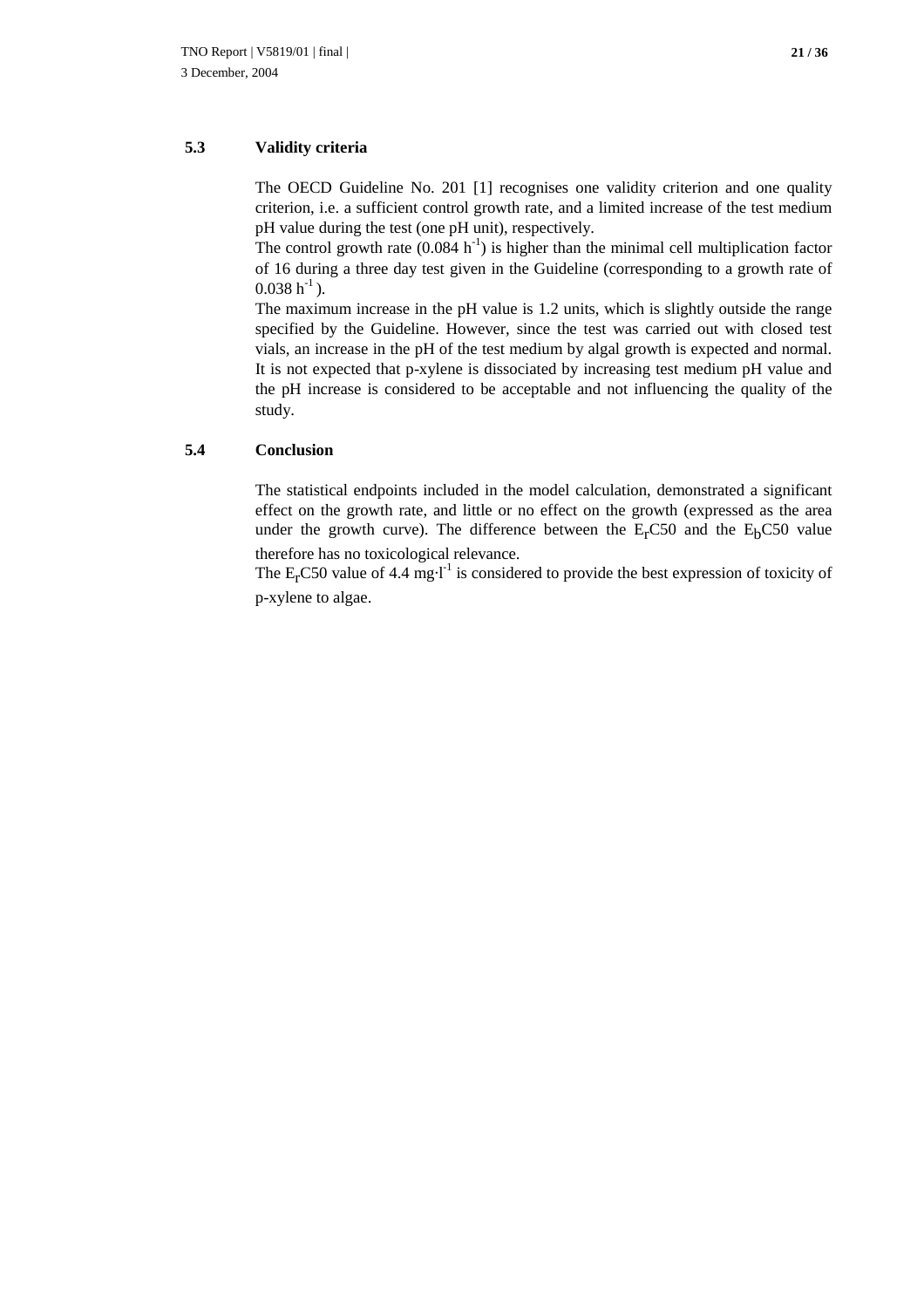#### **5.3 Validity criteria**

The OECD Guideline No. 201 [1] recognises one validity criterion and one quality criterion, i.e. a sufficient control growth rate, and a limited increase of the test medium pH value during the test (one pH unit), respectively.

The control growth rate  $(0.084 \text{ h}^{-1})$  is higher than the minimal cell multiplication factor of 16 during a three day test given in the Guideline (corresponding to a growth rate of  $0.038 h^{-1}$ ).

The maximum increase in the pH value is 1.2 units, which is slightly outside the range specified by the Guideline. However, since the test was carried out with closed test vials, an increase in the pH of the test medium by algal growth is expected and normal. It is not expected that p-xylene is dissociated by increasing test medium pH value and the pH increase is considered to be acceptable and not influencing the quality of the study.

#### **5.4 Conclusion**

The statistical endpoints included in the model calculation, demonstrated a significant effect on the growth rate, and little or no effect on the growth (expressed as the area under the growth curve). The difference between the  $E<sub>r</sub>CS0$  and the  $E<sub>b</sub>CS0$  value therefore has no toxicological relevance.

The  $E<sub>r</sub> C50$  value of 4.4 mg·l<sup>-1</sup> is considered to provide the best expression of toxicity of p-xylene to algae.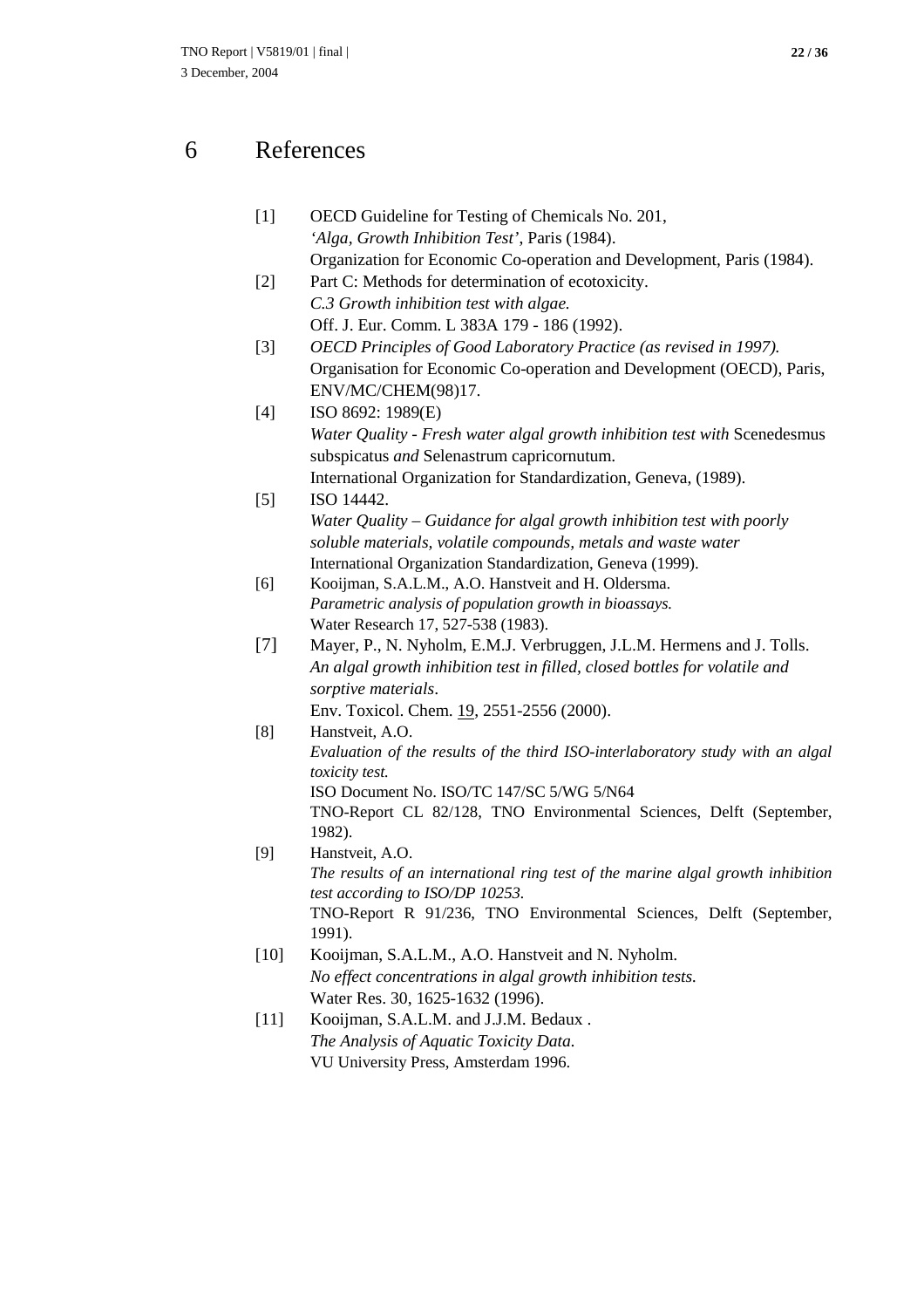### 6 References

- [1] OECD Guideline for Testing of Chemicals No. 201, *'Alga, Growth Inhibition Test'*, Paris (1984). Organization for Economic Co-operation and Development, Paris (1984).
- [2] Part C: Methods for determination of ecotoxicity. *C.3 Growth inhibition test with algae.* Off. J. Eur. Comm. L 383A 179 - 186 (1992).
- [3] *OECD Principles of Good Laboratory Practice (as revised in 1997).* Organisation for Economic Co-operation and Development (OECD), Paris, ENV/MC/CHEM(98)17.
- [4] ISO 8692: 1989(E) *Water Quality - Fresh water algal growth inhibition test with Scenedesmus* subspicatus *and* Selenastrum capricornutum. International Organization for Standardization, Geneva, (1989).
- [5] ISO 14442. *Water Quality – Guidance for algal growth inhibition test with poorly soluble materials, volatile compounds, metals and waste water* International Organization Standardization, Geneva (1999).
- [6] Kooijman, S.A.L.M., A.O. Hanstveit and H. Oldersma. *Parametric analysis of population growth in bioassays.* Water Research 17, 527-538 (1983).
- [7] Mayer, P., N. Nyholm, E.M.J. Verbruggen, J.L.M. Hermens and J. Tolls. *An algal growth inhibition test in filled, closed bottles for volatile and sorptive materials*.

Env. Toxicol. Chem. 19, 2551-2556 (2000).

- [8] Hanstveit, A.O. *Evaluation of the results of the third ISO-interlaboratory study with an algal toxicity test.* ISO Document No. ISO/TC 147/SC 5/WG 5/N64 TNO-Report CL 82/128, TNO Environmental Sciences, Delft (September, 1982).
- [9] Hanstveit, A.O. *The results of an international ring test of the marine algal growth inhibition test according to ISO/DP 10253.* TNO-Report R 91/236, TNO Environmental Sciences, Delft (September, 1991).
- [10] Kooijman, S.A.L.M., A.O. Hanstveit and N. Nyholm. *No effect concentrations in algal growth inhibition tests.* Water Res. 30, 1625-1632 (1996).
- [11] Kooijman, S.A.L.M. and J.J.M. Bedaux. *The Analysis of Aquatic Toxicity Data.* VU University Press, Amsterdam 1996.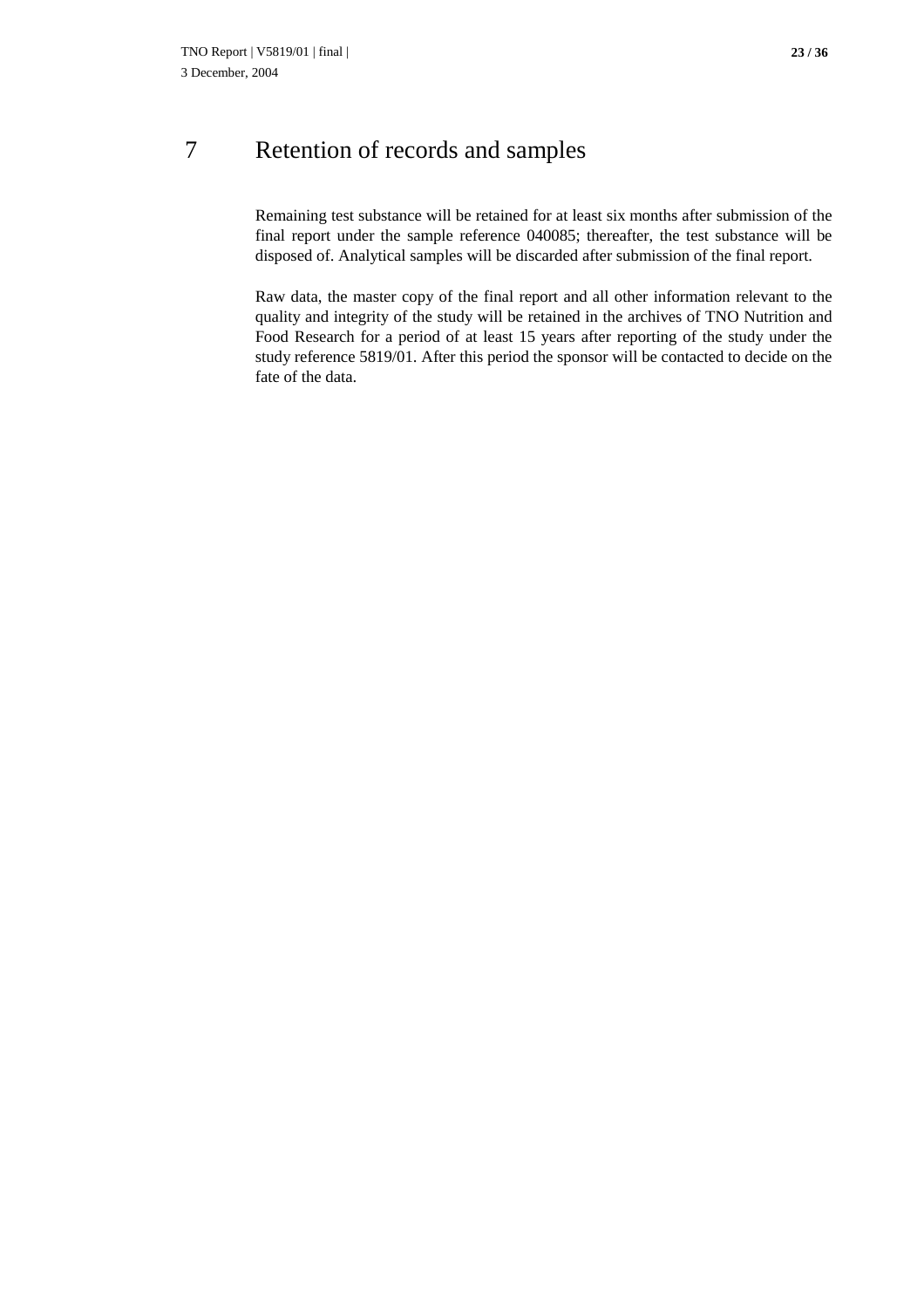## 7 Retention of records and samples

Remaining test substance will be retained for at least six months after submission of the final report under the sample reference 040085; thereafter, the test substance will be disposed of. Analytical samples will be discarded after submission of the final report.

Raw data, the master copy of the final report and all other information relevant to the quality and integrity of the study will be retained in the archives of TNO Nutrition and Food Research for a period of at least 15 years after reporting of the study under the study reference 5819/01. After this period the sponsor will be contacted to decide on the fate of the data.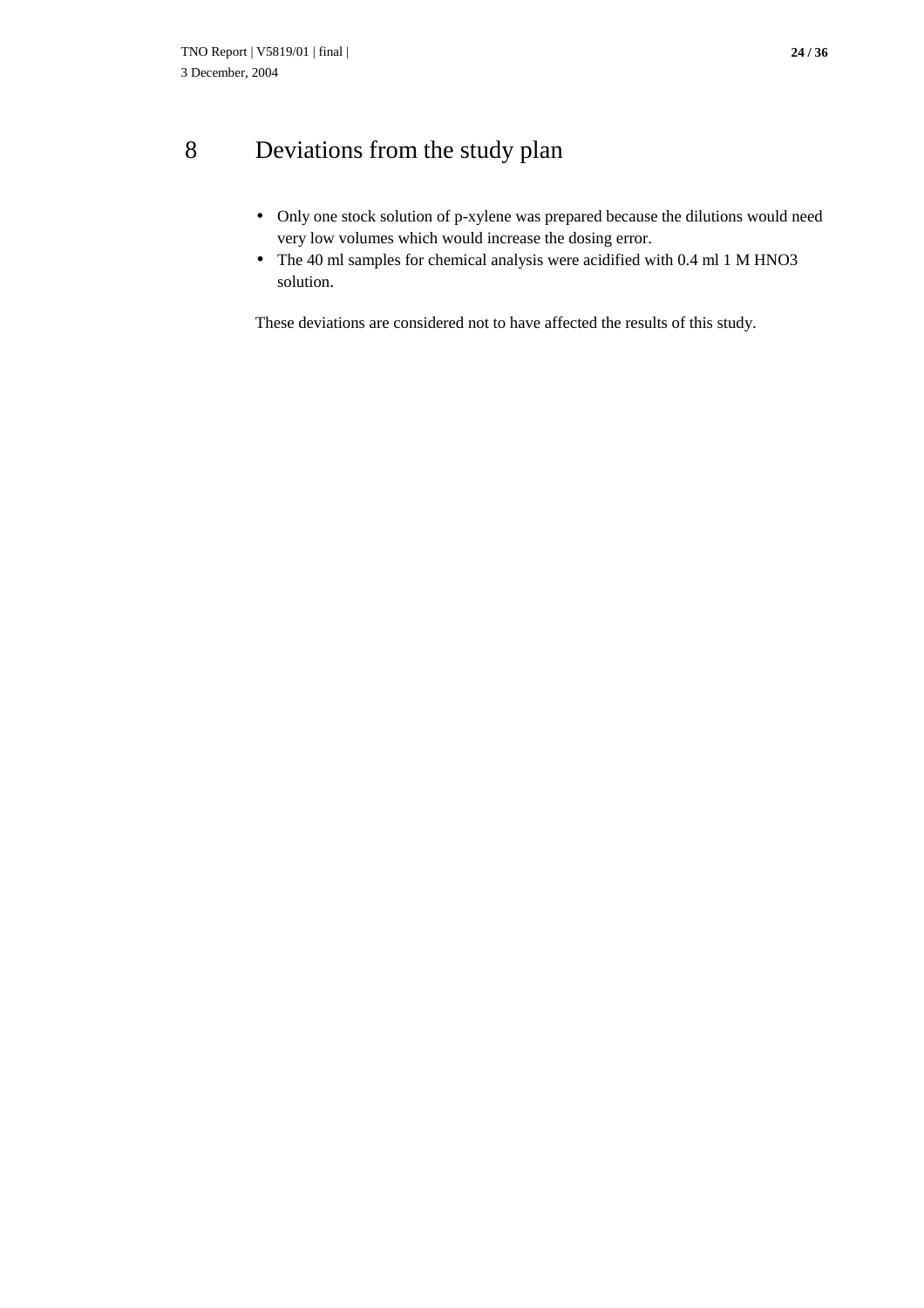# 8 Deviations from the study plan

- Only one stock solution of p-xylene was prepared because the dilutions would need very low volumes which would increase the dosing error.
- The 40 ml samples for chemical analysis were acidified with 0.4 ml 1 M HNO3 solution.

These deviations are considered not to have affected the results of this study.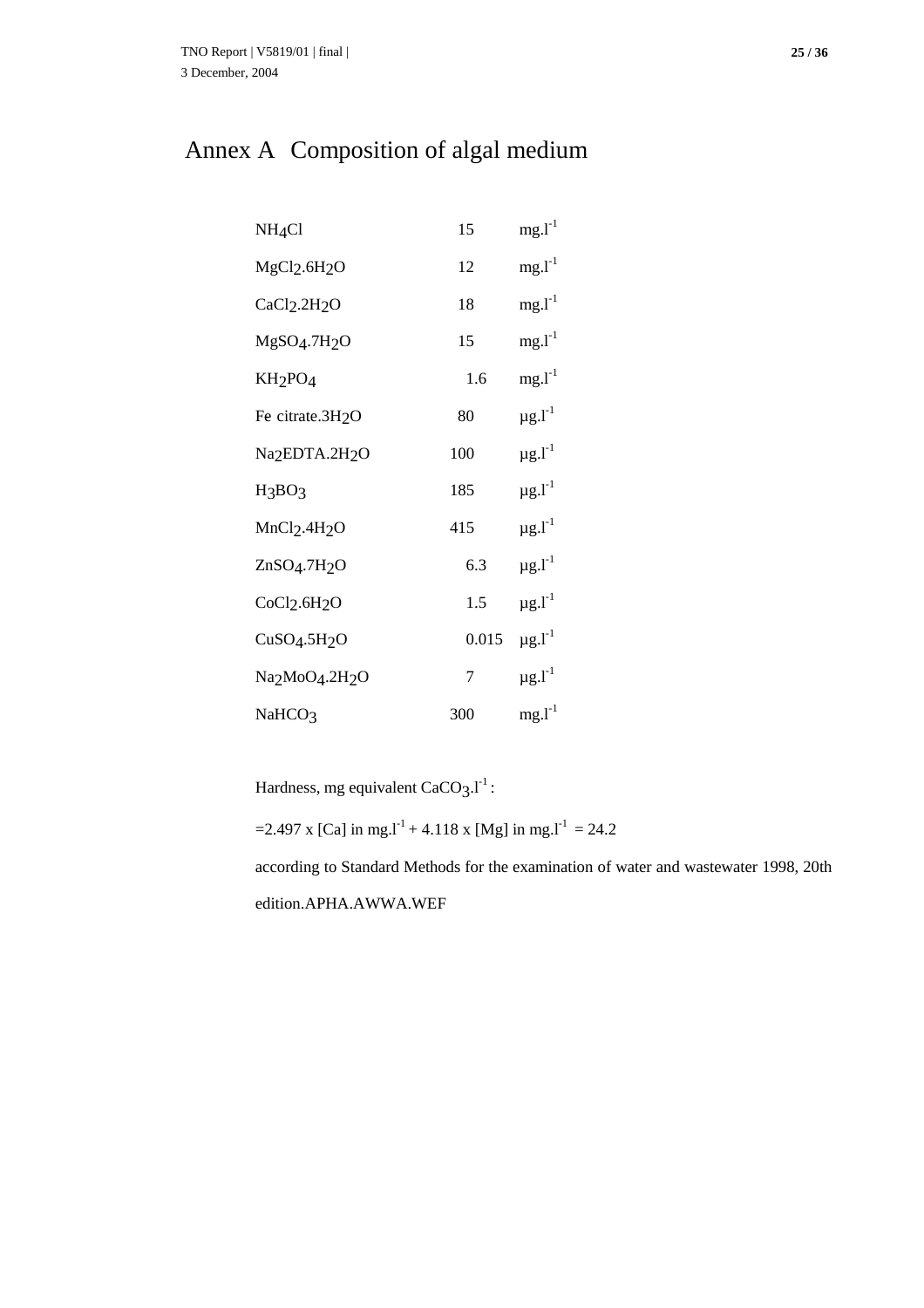# Annex A Composition of algal medium

| NH <sub>4</sub> Cl                                  | 15    | $mg.I-1$                |
|-----------------------------------------------------|-------|-------------------------|
| MgCl <sub>2</sub> .6H <sub>2</sub> O                | 12    | $mg.I-1$                |
| CaCl <sub>2</sub> .2H <sub>2</sub> O                | 18    | $mg.I-1$                |
| MgSO <sub>4</sub> .7H <sub>2</sub> O                | 15    | $mg.I-1$                |
| KH <sub>2</sub> PO <sub>4</sub>                     | 1.6   | $mg.I-1$                |
| Fe citrate.3H <sub>2</sub> O                        | 80    | $\mu$ g. $I^{-1}$       |
| Na <sub>2</sub> EDTA.2H <sub>2</sub> O              | 100   | $\mu$ g.l $^{-1}$       |
| H <sub>3</sub> BO <sub>3</sub>                      | 185   | $\mu$ g. $l^{-1}$       |
| MnCl <sub>2</sub> .4H <sub>2</sub> O                | 415   | $\mu$ g.l <sup>-1</sup> |
| ZnSO <sub>4</sub> .7H <sub>2</sub> O                | 6.3   | $\mu$ g.l $^{-1}$       |
| CoCl <sub>2</sub> .6H <sub>2</sub> O                | 1.5   | $\mu$ g.l $^{-1}$       |
| CuSO <sub>4</sub> .5H <sub>2</sub> O                | 0.015 | $\mu$ g. $l^{-1}$       |
| Na <sub>2</sub> MoO <sub>4</sub> .2H <sub>2</sub> O | 7     | $\mu$ g. $l^{-1}$       |
| NaHCO <sub>3</sub>                                  | 300   | $mg.I-1$                |

Hardness, mg equivalent  $CaCO<sub>3</sub>.l<sup>-1</sup>$ :

=2.497 x [Ca] in mg.<sup>1-1</sup> + 4.118 x [Mg] in mg.<sup>1-1</sup> = 24.2

according to Standard Methods for the examination of water and wastewater 1998, 20th edition.APHA.AWWA.WEF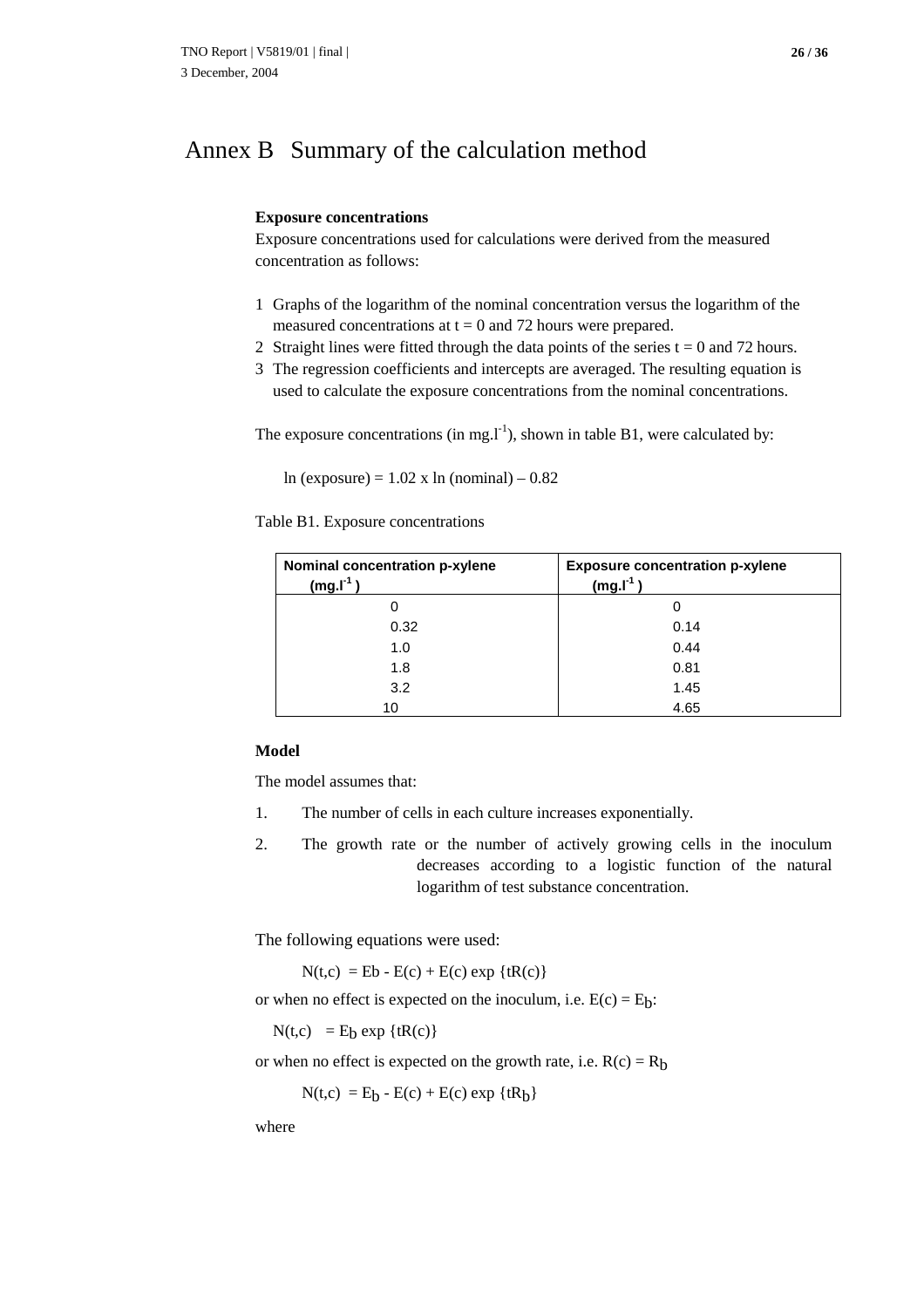### Annex B Summary of the calculation method

#### **Exposure concentrations**

Exposure concentrations used for calculations were derived from the measured concentration as follows:

- 1 Graphs of the logarithm of the nominal concentration versus the logarithm of the measured concentrations at  $t = 0$  and 72 hours were prepared.
- 2 Straight lines were fitted through the data points of the series  $t = 0$  and 72 hours.
- 3 The regression coefficients and intercepts are averaged. The resulting equation is used to calculate the exposure concentrations from the nominal concentrations.

The exposure concentrations (in mg. $I<sup>-1</sup>$ ), shown in table B1, were calculated by:

ln (exposure) =  $1.02$  x ln (nominal) – 0.82

Table B1. Exposure concentrations

| Nominal concentration p-xylene<br>$(mg.I-1)$ | <b>Exposure concentration p-xylene</b><br>$(mg.I-1)$ |
|----------------------------------------------|------------------------------------------------------|
|                                              |                                                      |
| 0.32                                         | 0.14                                                 |
| 1.0                                          | 0.44                                                 |
| 1.8                                          | 0.81                                                 |
| 3.2                                          | 1.45                                                 |
| 10                                           | 4.65                                                 |

#### **Model**

The model assumes that:

- 1. The number of cells in each culture increases exponentially.
- 2. The growth rate or the number of actively growing cells in the inoculum decreases according to a logistic function of the natural logarithm of test substance concentration.

The following equations were used:

 $N(t,c) = Eb - E(c) + E(c) \exp {tR(c)}$ 

or when no effect is expected on the inoculum, i.e.  $E(c) = E_b$ :

 $N(t,c) = E_b exp {tR(c)}$ 

or when no effect is expected on the growth rate, i.e.  $R(c) = R<sub>b</sub>$ 

 $N(t,c) = E_b - E(c) + E(c) \exp {tR_b}$ 

where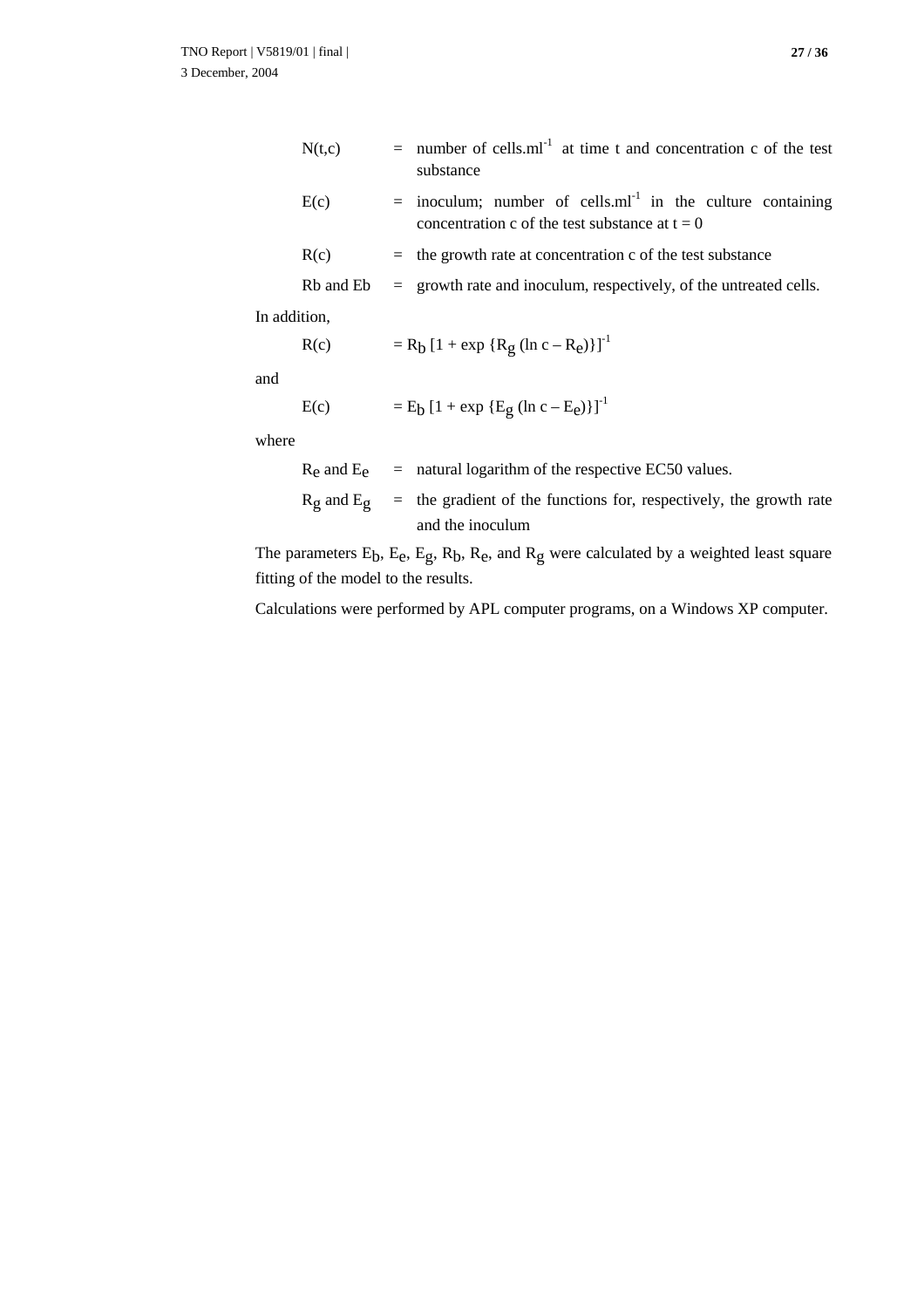| N(t,c) | $=$ number of cells.ml <sup>-1</sup> at time t and concentration c of the test<br>substance                                  |
|--------|------------------------------------------------------------------------------------------------------------------------------|
| E(c)   | $=$ inoculum; number of cells.ml <sup>-1</sup> in the culture containing<br>concentration c of the test substance at $t = 0$ |
| R(c)   | $=$ the growth rate at concentration c of the test substance                                                                 |

$$
Rb
$$
 and  $Eb$  = growth rate and inoculum, respectively, of the untreated cells.

In addition,

$$
R(c) = R_b [1 + exp {R_g (ln c - R_e)}]^{-1}
$$

and

E(c) = Eb [1 + exp {Eg (ln c – Ee)}]-1

where

$$
R_e
$$
 and  $E_e$  = natural logarithm of the respective EC50 values.  
\n $R_g$  and  $E_g$  = the gradient of the functions for, respectively, the growth rate  
\nand the inoculum

The parameters  $E_b$ ,  $E_e$ ,  $E_g$ ,  $R_b$ ,  $R_e$ , and  $R_g$  were calculated by a weighted least square fitting of the model to the results.

Calculations were performed by APL computer programs, on a Windows XP computer.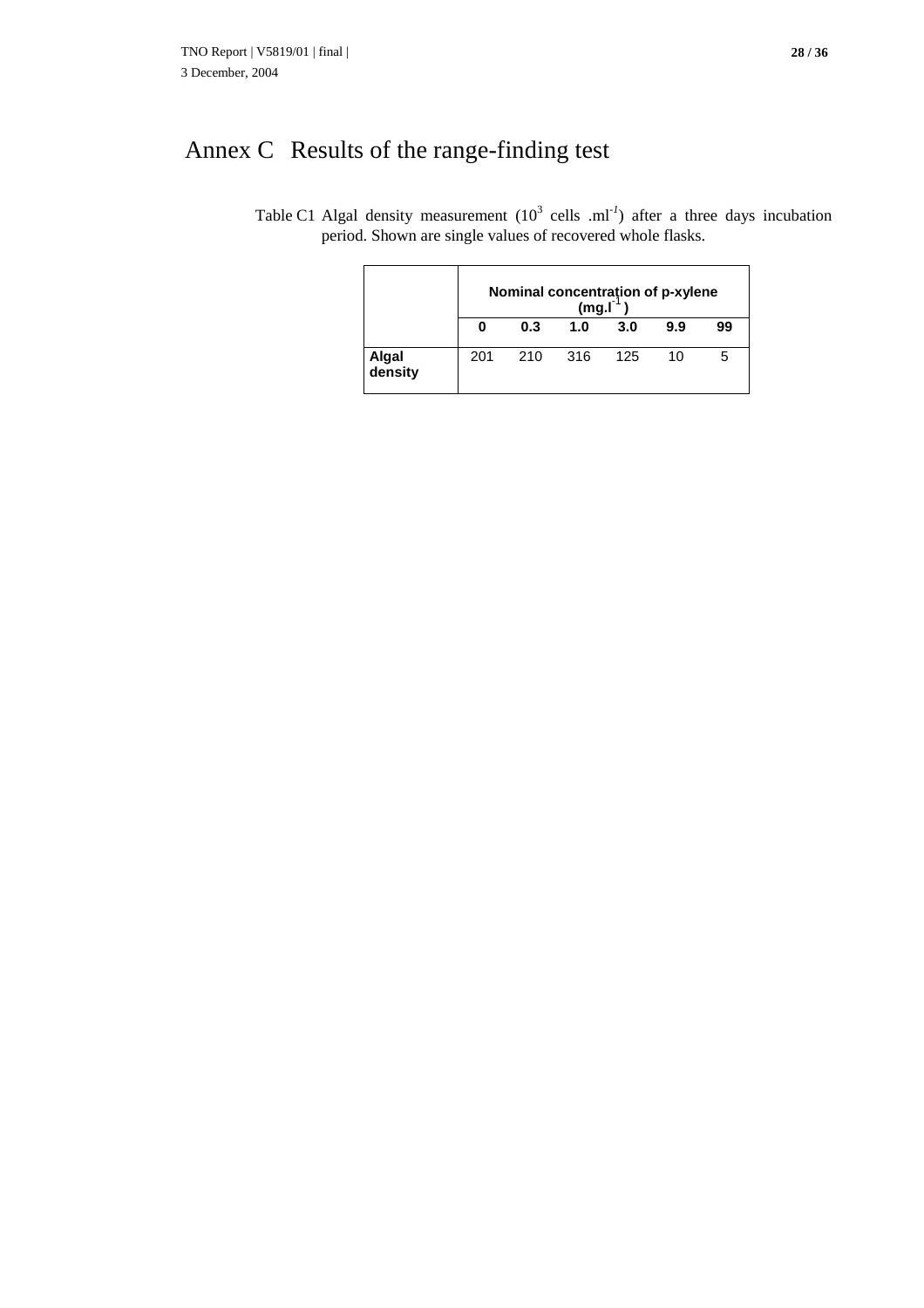# Annex C Results of the range-finding test

Table C1 Algal density measurement  $(10^3 \text{ cells } .\text{ml}^{-1})$  after a three days incubation period. Shown are single values of recovered whole flasks.

|                  |     | Nominal concentration of p-xylene<br>(mg.1) |     |     |     |    |  |  |  |  |  |
|------------------|-----|---------------------------------------------|-----|-----|-----|----|--|--|--|--|--|
|                  |     | 0.3                                         | 1.0 | 3.0 | 9.9 | 99 |  |  |  |  |  |
| Algal<br>density | 201 | 210                                         | 316 | 125 | 10  | 5  |  |  |  |  |  |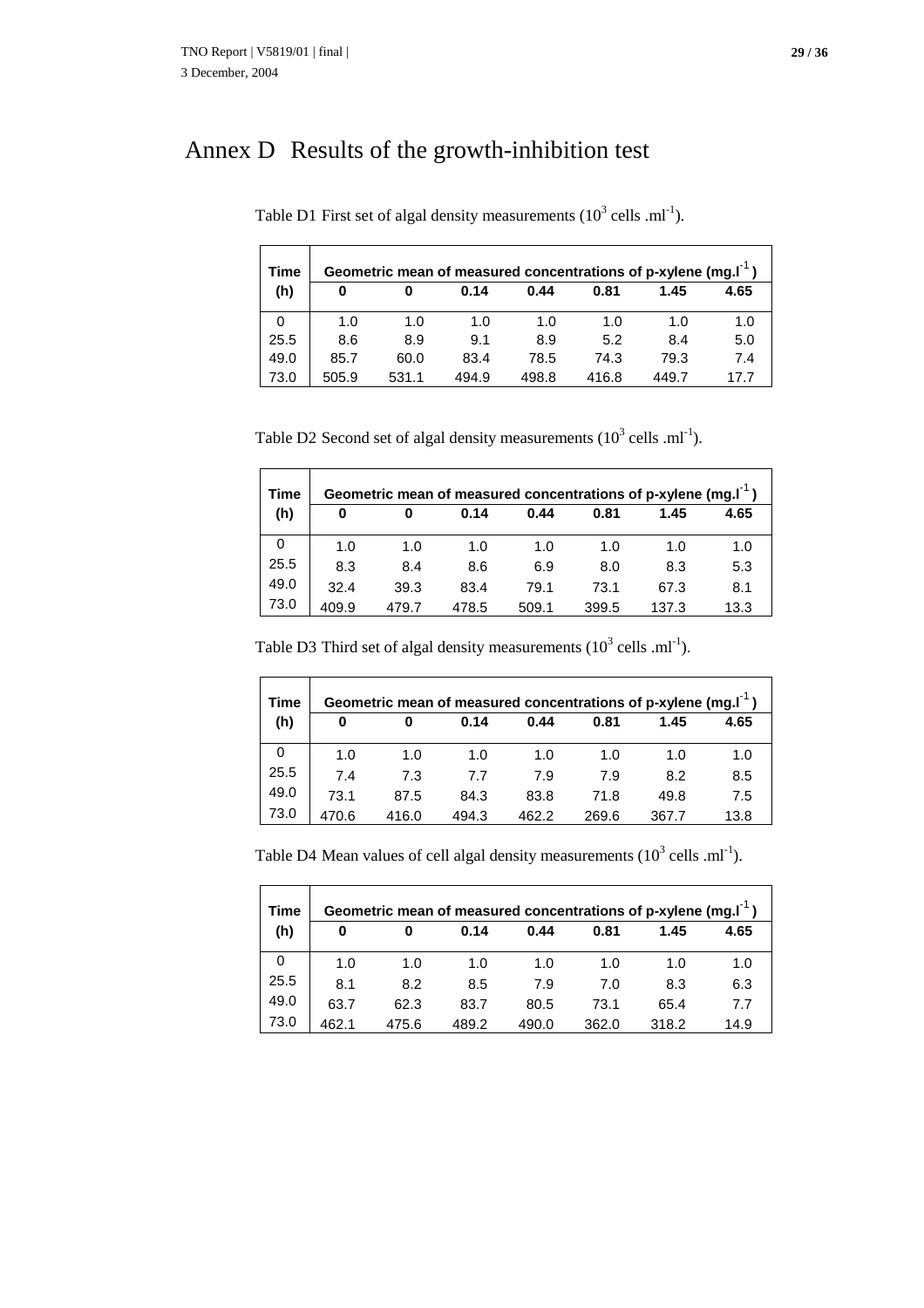$\blacksquare$ 

# Annex D Results of the growth-inhibition test

| <b>Time</b> |       |       |       |       |       | Geometric mean of measured concentrations of p-xylene (mg. $I^{-1}$ ) |      |
|-------------|-------|-------|-------|-------|-------|-----------------------------------------------------------------------|------|
| (h)         | 0     | 0     | 0.14  | 0.44  | 0.81  | 1.45                                                                  | 4.65 |
| 0           | 1.0   | 1.0   | 1.0   | 1.0   | 1.0   | 1.0                                                                   | 1.0  |
| 25.5        | 8.6   | 8.9   | 9.1   | 8.9   | 5.2   | 8.4                                                                   | 5.0  |
| 49.0        | 85.7  | 60.0  | 83.4  | 78.5  | 74.3  | 79.3                                                                  | 7.4  |
| 73.0        | 505.9 | 531.1 | 494.9 | 498.8 | 416.8 | 449.7                                                                 | 17.7 |

Table D1 First set of algal density measurements  $(10^3 \text{ cells } . \text{ml}^{-1})$ .

Table D2 Second set of algal density measurements  $(10^3 \text{ cells} \cdot \text{ml}^{-1})$ .

| <b>Time</b> |       |       |       |       |       | Geometric mean of measured concentrations of p-xylene (mg. $I^{-1}$ ) |      |
|-------------|-------|-------|-------|-------|-------|-----------------------------------------------------------------------|------|
| (h)         | 0     | 0     | 0.14  | 0.44  | 0.81  | 1.45                                                                  | 4.65 |
| 0           | 1.0   | 1.0   | 1.0   | 1.0   | 1.0   | 1.0                                                                   | 1.0  |
| 25.5        | 8.3   | 8.4   | 8.6   | 6.9   | 8.0   | 8.3                                                                   | 5.3  |
| 49.0        | 32.4  | 39.3  | 83.4  | 79.1  | 73.1  | 67.3                                                                  | 8.1  |
| 73.0        | 409.9 | 479.7 | 478.5 | 509.1 | 399.5 | 137.3                                                                 | 13.3 |

Table D3 Third set of algal density measurements  $(10^3 \text{ cells} \cdot \text{ml}^{-1})$ .

| Time |       |       |       |       |       | Geometric mean of measured concentrations of p-xylene (mg. $I^{-1}$ ) |      |
|------|-------|-------|-------|-------|-------|-----------------------------------------------------------------------|------|
| (h)  | 0     |       | 0.14  | 0.44  | 0.81  | 1.45                                                                  | 4.65 |
| 0    | 1.0   | 1.0   | 1.0   | 1.0   | 1.0   | 1.0                                                                   | 1.0  |
| 25.5 | 7.4   | 7.3   | 7.7   | 7.9   | 7.9   | 8.2                                                                   | 8.5  |
| 49.0 | 73.1  | 87.5  | 84.3  | 83.8  | 71.8  | 49.8                                                                  | 7.5  |
| 73.0 | 470.6 | 416.0 | 494.3 | 462.2 | 269.6 | 367.7                                                                 | 13.8 |

Table D4 Mean values of cell algal density measurements  $(10^3 \text{ cells } .\text{ml}^{-1})$ .

| Time |       |       |       |       |       | Geometric mean of measured concentrations of p-xylene (mg. $I^{-1}$ ) |      |
|------|-------|-------|-------|-------|-------|-----------------------------------------------------------------------|------|
| (h)  | 0     | 0     | 0.14  | 0.44  | 0.81  | 1.45                                                                  | 4.65 |
| 0    | 1.0   | 1.0   | 1.0   | 1.0   | 1.0   | 1.0                                                                   | 1.0  |
| 25.5 | 8.1   | 8.2   | 8.5   | 7.9   | 7.0   | 8.3                                                                   | 6.3  |
| 49.0 | 63.7  | 62.3  | 83.7  | 80.5  | 73.1  | 65.4                                                                  | 7.7  |
| 73.0 | 462.1 | 475.6 | 489.2 | 490.0 | 362.0 | 318.2                                                                 | 14.9 |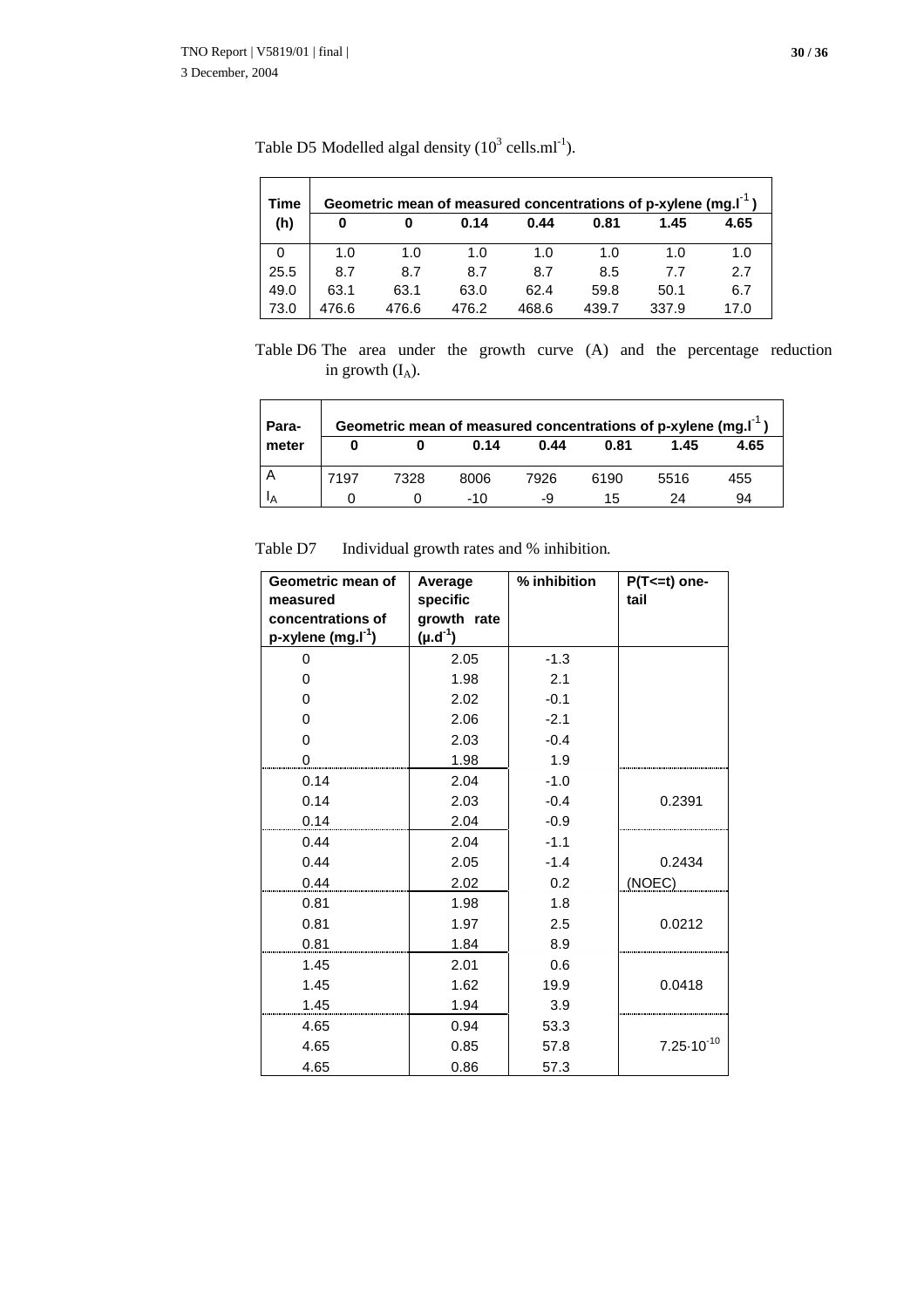$\overline{a}$ 

| Time |       |       |       |       |       | Geometric mean of measured concentrations of p-xylene (mg.I <sup>-1</sup> ) |      |
|------|-------|-------|-------|-------|-------|-----------------------------------------------------------------------------|------|
| (h)  | 0     |       | 0.14  | 0.44  | 0.81  | 1.45                                                                        | 4.65 |
| 0    | 1.0   | 1.0   | 1.0   | 1.0   | 1.0   | 1.0                                                                         | 1.0  |
| 25.5 | 8.7   | 8.7   | 8.7   | 8.7   | 8.5   | 77                                                                          | 2.7  |
| 49.0 | 63.1  | 63.1  | 63.0  | 62.4  | 59.8  | 50.1                                                                        | 6.7  |
| 73.0 | 476.6 | 476.6 | 476.2 | 468.6 | 439.7 | 337.9                                                                       | 17.0 |

Table D5 Modelled algal density  $(10^3 \text{ cells.ml}^{-1})$ .

Table D6 The area under the growth curve (A) and the percentage reduction in growth  $(I_A)$ .

| Para- |      |      | Geometric mean of measured concentrations of p-xylene (mg.I <sup>-1</sup> ) |      |      |      |      |
|-------|------|------|-----------------------------------------------------------------------------|------|------|------|------|
| meter |      |      | 0.14                                                                        | 0.44 | 0.81 | 1.45 | 4.65 |
|       | 7197 | 7328 | 8006                                                                        | 7926 | 6190 | 5516 | 455  |
| ١A    |      |      | -10                                                                         | -9   | 15   | 24   | 94   |

Table D7 Individual growth rates and % inhibition*.*

| Geometric mean of              | Average                 | % inhibition | $P(T=1)$ one-<br>tail |
|--------------------------------|-------------------------|--------------|-----------------------|
| measured<br>concentrations of  | specific<br>growth rate |              |                       |
| p-xylene (mg.l <sup>-1</sup> ) | $(\mu.d^{-1})$          |              |                       |
| 0                              | 2.05                    | $-1.3$       |                       |
| 0                              | 1.98                    | 2.1          |                       |
| 0                              | 2.02                    | $-0.1$       |                       |
| $\Omega$                       | 2.06                    | $-2.1$       |                       |
| 0                              | 2.03                    | $-0.4$       |                       |
| $^{(1)}$                       | 1.98                    | 1.9          |                       |
| 0.14                           | 2.04                    | $-1.0$       |                       |
| 0.14                           | 2.03                    | $-0.4$       | 0.2391                |
| 0.14                           | 2.04                    | $-0.9$       |                       |
| 0.44                           | 2.04                    | $-1.1$       |                       |
| 0.44                           | 2.05                    | $-1.4$       | 0.2434                |
| 0.44                           | 2.02                    | 0.2          | (NOEC)                |
| 0.81                           | 1.98                    | 1.8          |                       |
| 0.81                           | 1.97                    | 2.5          | 0.0212                |
| 0.81                           | 1.84                    | 8.9          |                       |
| 1.45                           | 2.01                    | 0.6          |                       |
| 1.45                           | 1.62                    | 19.9         | 0.0418                |
| 1.45                           | 1.94                    | 3.9          |                       |
| 4.65                           | 0.94                    | 53.3         |                       |
| 4.65                           | 0.85                    | 57.8         | $7.25 \cdot 10^{-10}$ |
| 4.65                           | 0.86                    | 57.3         |                       |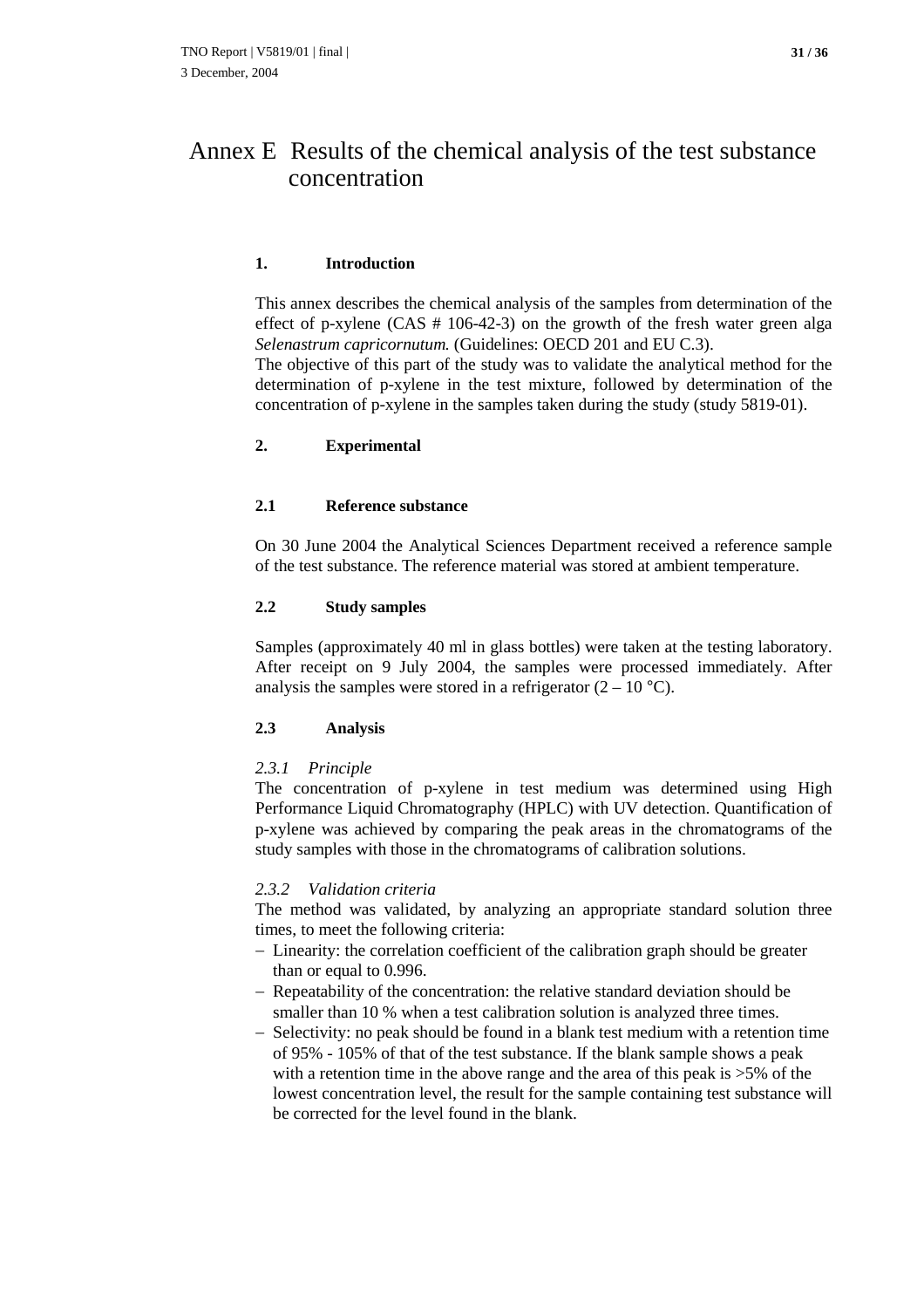#### **1. Introduction**

This annex describes the chemical analysis of the samples from determination of the effect of p-xylene (CAS # 106-42-3) on the growth of the fresh water green alga *Selenastrum capricornutum.* (Guidelines: OECD 201 and EU C.3). The objective of this part of the study was to validate the analytical method for the

determination of p-xylene in the test mixture, followed by determination of the concentration of p-xylene in the samples taken during the study (study 5819-01).

#### **2. Experimental**

#### **2.1 Reference substance**

On 30 June 2004 the Analytical Sciences Department received a reference sample of the test substance. The reference material was stored at ambient temperature.

#### **2.2 Study samples**

Samples (approximately 40 ml in glass bottles) were taken at the testing laboratory. After receipt on 9 July 2004, the samples were processed immediately. After analysis the samples were stored in a refrigerator  $(2 - 10 \degree C)$ .

#### **2.3 Analysis**

#### *2.3.1 Principle*

The concentration of p-xylene in test medium was determined using High Performance Liquid Chromatography (HPLC) with UV detection. Quantification of p-xylene was achieved by comparing the peak areas in the chromatograms of the study samples with those in the chromatograms of calibration solutions.

#### *2.3.2 Validation criteria*

The method was validated, by analyzing an appropriate standard solution three times, to meet the following criteria:

- Linearity: the correlation coefficient of the calibration graph should be greater than or equal to 0.996.
- Repeatability of the concentration: the relative standard deviation should be smaller than 10 % when a test calibration solution is analyzed three times.
- $-$  Selectivity: no peak should be found in a blank test medium with a retention time of 95% - 105% of that of the test substance. If the blank sample shows a peak with a retention time in the above range and the area of this peak is >5% of the lowest concentration level, the result for the sample containing test substance will be corrected for the level found in the blank.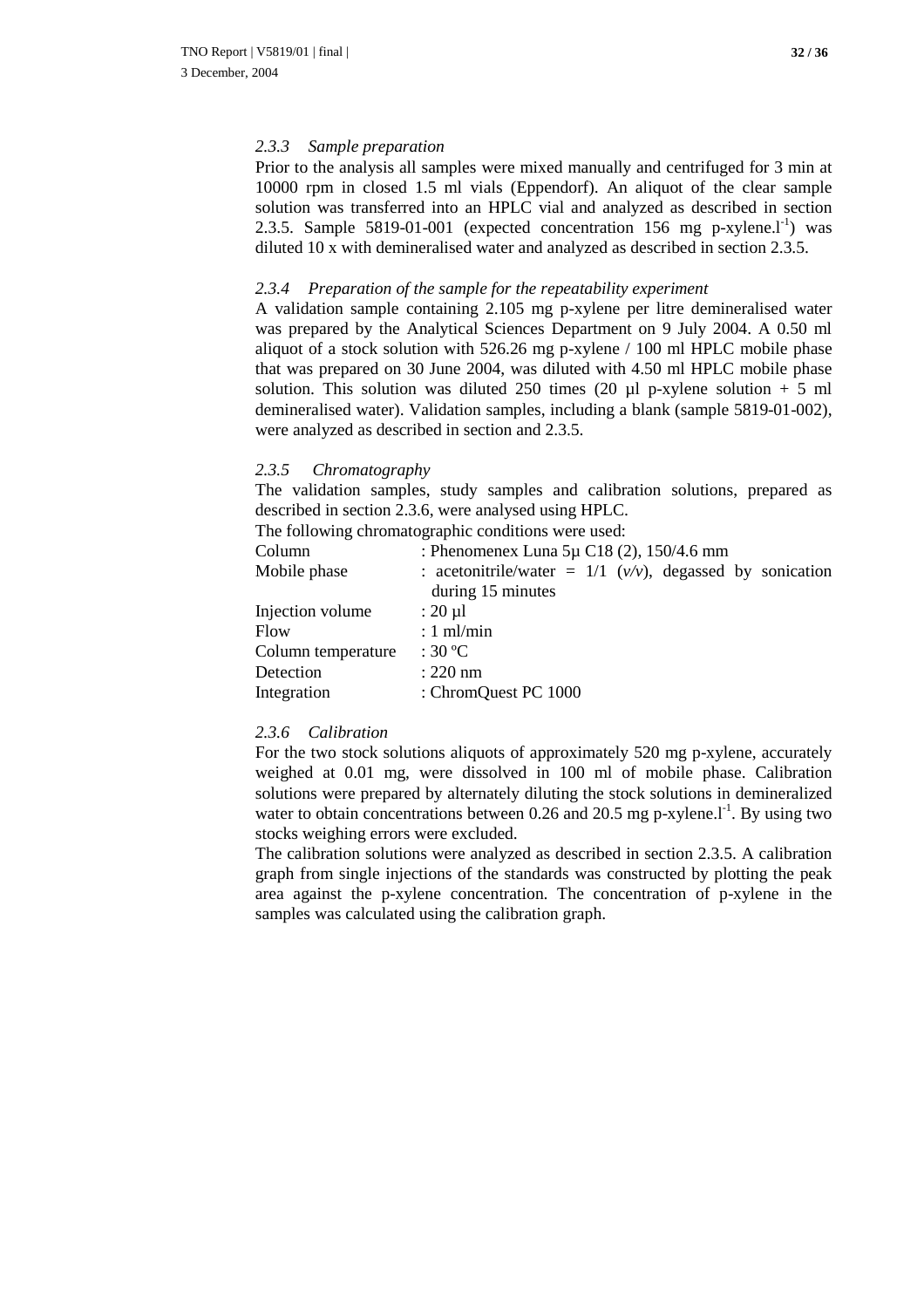#### *2.3.3 Sample preparation*

Prior to the analysis all samples were mixed manually and centrifuged for 3 min at 10000 rpm in closed 1.5 ml vials (Eppendorf). An aliquot of the clear sample solution was transferred into an HPLC vial and analyzed as described in section 2.3.5. Sample 5819-01-001 (expected concentration 156 mg p-xylene. $I<sup>-1</sup>$ ) was diluted 10 x with demineralised water and analyzed as described in section 2.3.5.

#### *2.3.4 Preparation of the sample for the repeatability experiment*

A validation sample containing 2.105 mg p-xylene per litre demineralised water was prepared by the Analytical Sciences Department on 9 July 2004. A 0.50 ml aliquot of a stock solution with 526.26 mg p-xylene / 100 ml HPLC mobile phase that was prepared on 30 June 2004, was diluted with 4.50 ml HPLC mobile phase solution. This solution was diluted 250 times (20  $\mu$ l p-xylene solution + 5 ml demineralised water). Validation samples, including a blank (sample 5819-01-002), were analyzed as described in section and 2.3.5.

#### *2.3.5 Chromatography*

The validation samples, study samples and calibration solutions, prepared as described in section 2.3.6, were analysed using HPLC.

The following chromatographic conditions were used:

| Column             | : Phenomenex Luna $5\mu$ C18 (2), 150/4.6 mm                                        |  |  |  |  |  |  |  |
|--------------------|-------------------------------------------------------------------------------------|--|--|--|--|--|--|--|
| Mobile phase       | : acetonitrile/water = $1/1$ ( $v/v$ ), degassed by sonication<br>during 15 minutes |  |  |  |  |  |  |  |
| Injection volume   | $: 20 \mu l$                                                                        |  |  |  |  |  |  |  |
| Flow               | $: 1$ ml/min                                                                        |  |  |  |  |  |  |  |
| Column temperature | : 30 °C                                                                             |  |  |  |  |  |  |  |
| Detection          | $: 220$ nm                                                                          |  |  |  |  |  |  |  |
| Integration        | : ChromQuest PC 1000                                                                |  |  |  |  |  |  |  |

#### *2.3.6 Calibration*

For the two stock solutions aliquots of approximately 520 mg p-xylene, accurately weighed at 0.01 mg, were dissolved in 100 ml of mobile phase. Calibration solutions were prepared by alternately diluting the stock solutions in demineralized water to obtain concentrations between  $0.26$  and  $20.5$  mg p-xylene.<sup>1-1</sup>. By using two stocks weighing errors were excluded.

The calibration solutions were analyzed as described in section 2.3.5. A calibration graph from single injections of the standards was constructed by plotting the peak area against the p-xylene concentration. The concentration of p-xylene in the samples was calculated using the calibration graph.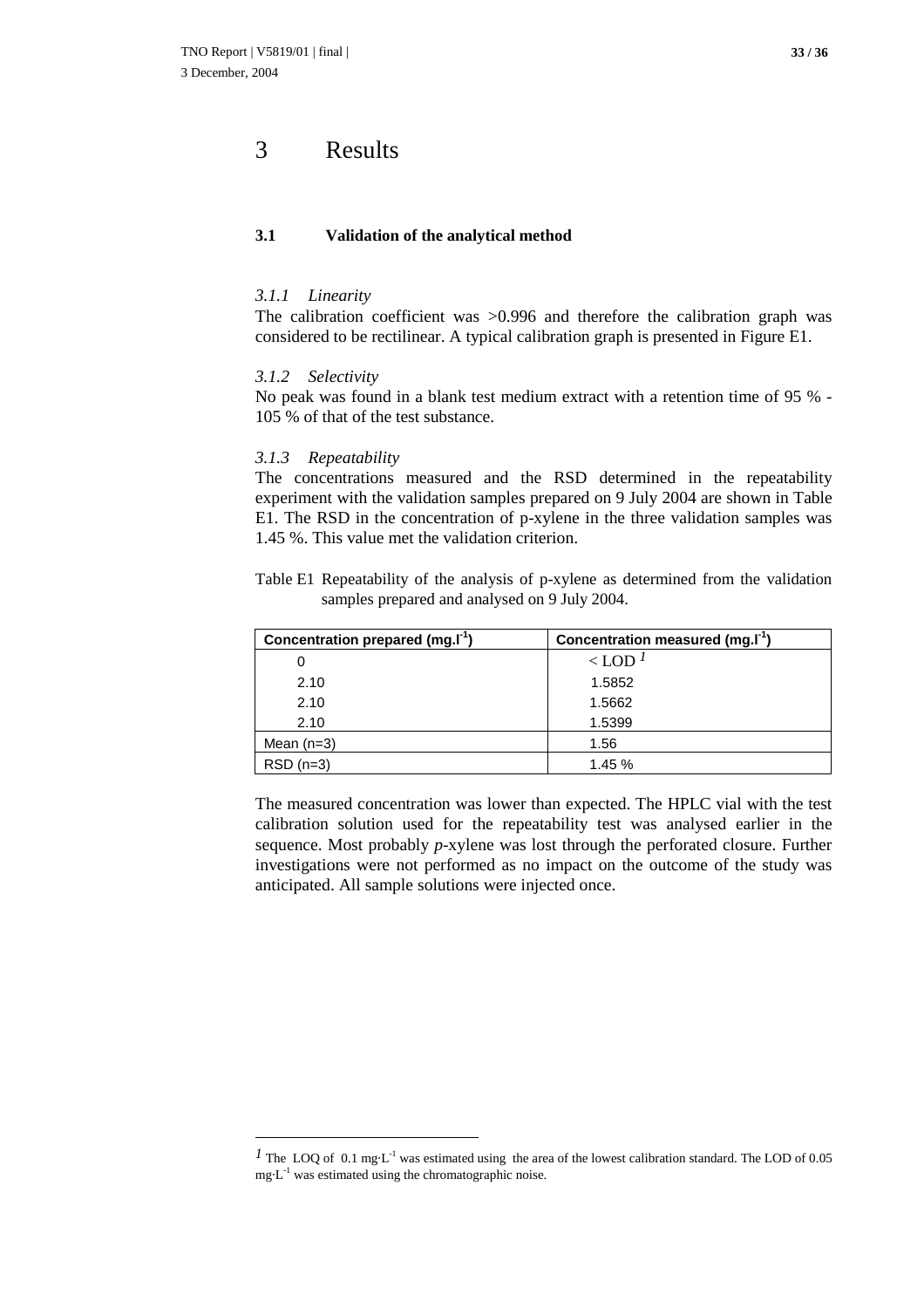### 3 Results

#### **3.1 Validation of the analytical method**

#### *3.1.1 Linearity*

The calibration coefficient was  $>0.996$  and therefore the calibration graph was considered to be rectilinear. A typical calibration graph is presented in Figure E1.

#### *3.1.2 Selectivity*

No peak was found in a blank test medium extract with a retention time of 95 % - 105 % of that of the test substance.

#### *3.1.3 Repeatability*

The concentrations measured and the RSD determined in the repeatability experiment with the validation samples prepared on 9 July 2004 are shown in Table E1. The RSD in the concentration of p-xylene in the three validation samples was 1.45 %. This value met the validation criterion.

| Table E1 Repeatability of the analysis of p-xylene as determined from the validation |  |  |  |  |
|--------------------------------------------------------------------------------------|--|--|--|--|
| samples prepared and analysed on 9 July 2004.                                        |  |  |  |  |

| Concentration prepared (mg.I <sup>-1</sup> ) | Concentration measured (mg.I <sup>-1</sup> ) |
|----------------------------------------------|----------------------------------------------|
| 0                                            | $\langle$ LOD <sup>1</sup>                   |
| 2.10                                         | 1.5852                                       |
| 2.10                                         | 1.5662                                       |
| 2.10                                         | 1.5399                                       |
| Mean $(n=3)$                                 | 1.56                                         |
| $RSD(n=3)$                                   | 1.45 %                                       |

The measured concentration was lower than expected. The HPLC vial with the test calibration solution used for the repeatability test was analysed earlier in the sequence. Most probably *p*-xylene was lost through the perforated closure. Further investigations were not performed as no impact on the outcome of the study was anticipated. All sample solutions were injected once.

<sup>&</sup>lt;sup>*1*</sup> The LOQ of 0.1 mg·L<sup>-1</sup> was estimated using the area of the lowest calibration standard. The LOD of 0.05  $mg L<sup>-1</sup>$  was estimated using the chromatographic noise.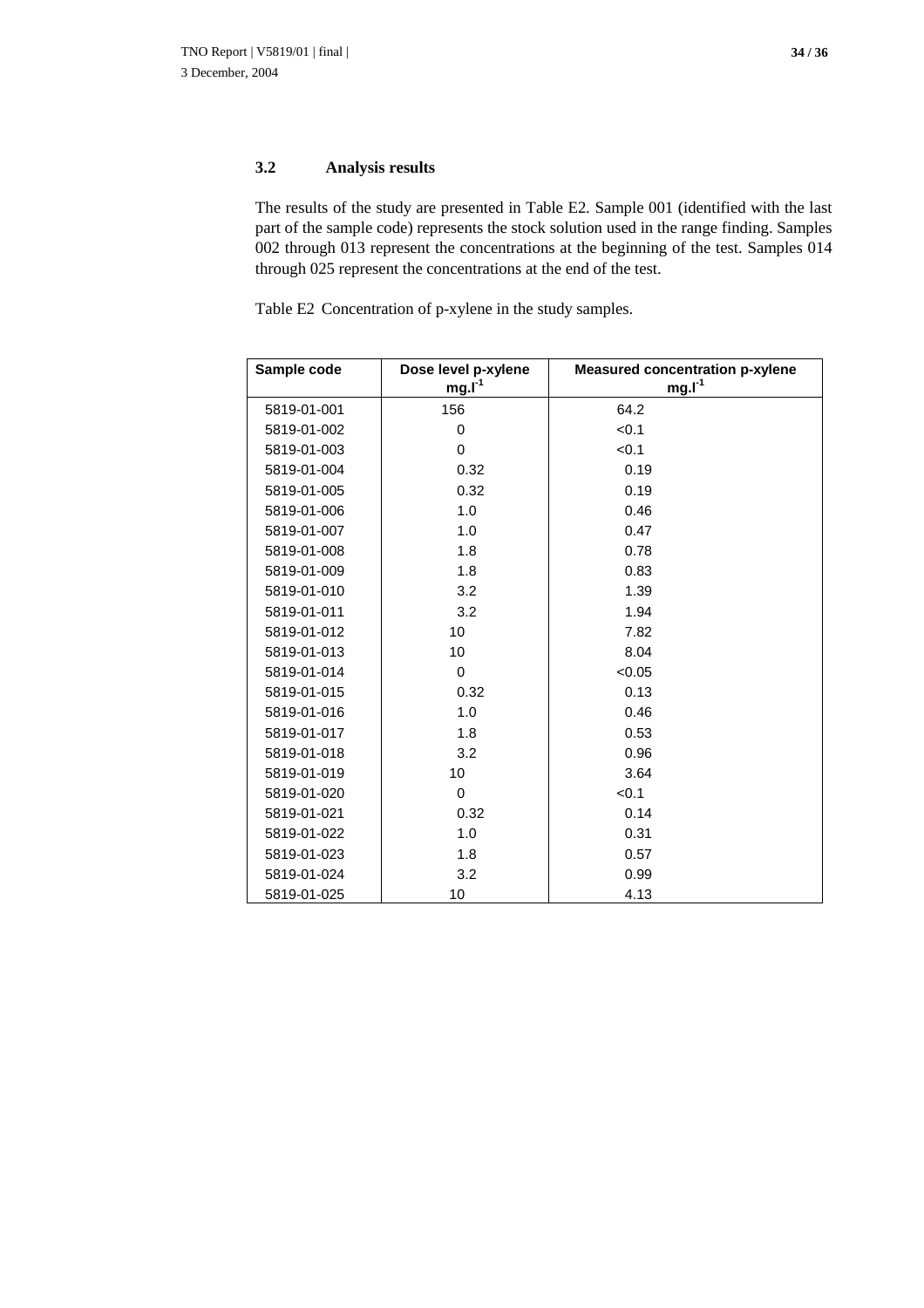#### **3.2 Analysis results**

The results of the study are presented in Table E2*.* Sample 001 (identified with the last part of the sample code) represents the stock solution used in the range finding. Samples 002 through 013 represent the concentrations at the beginning of the test. Samples 014 through 025 represent the concentrations at the end of the test.

Table E2 Concentration of p-xylene in the study samples.

| Sample code | Dose level p-xylene | <b>Measured concentration p-xylene</b> |
|-------------|---------------------|----------------------------------------|
|             | mg.I <sup>1</sup>   | $mg.I-1$                               |
| 5819-01-001 | 156                 | 64.2                                   |
| 5819-01-002 | 0                   | < 0.1                                  |
| 5819-01-003 | $\Omega$            | < 0.1                                  |
| 5819-01-004 | 0.32                | 0.19                                   |
| 5819-01-005 | 0.32                | 0.19                                   |
| 5819-01-006 | 1.0                 | 0.46                                   |
| 5819-01-007 | 1.0                 | 0.47                                   |
| 5819-01-008 | 1.8                 | 0.78                                   |
| 5819-01-009 | 1.8                 | 0.83                                   |
| 5819-01-010 | 3.2                 | 1.39                                   |
| 5819-01-011 | 3.2                 | 1.94                                   |
| 5819-01-012 | 10                  | 7.82                                   |
| 5819-01-013 | 10                  | 8.04                                   |
| 5819-01-014 | $\Omega$            | < 0.05                                 |
| 5819-01-015 | 0.32                | 0.13                                   |
| 5819-01-016 | 1.0                 | 0.46                                   |
| 5819-01-017 | 1.8                 | 0.53                                   |
| 5819-01-018 | 3.2                 | 0.96                                   |
| 5819-01-019 | 10                  | 3.64                                   |
| 5819-01-020 | 0                   | < 0.1                                  |
| 5819-01-021 | 0.32                | 0.14                                   |
| 5819-01-022 | 1.0                 | 0.31                                   |
| 5819-01-023 | 1.8                 | 0.57                                   |
| 5819-01-024 | 3.2                 | 0.99                                   |
| 5819-01-025 | 10                  | 4.13                                   |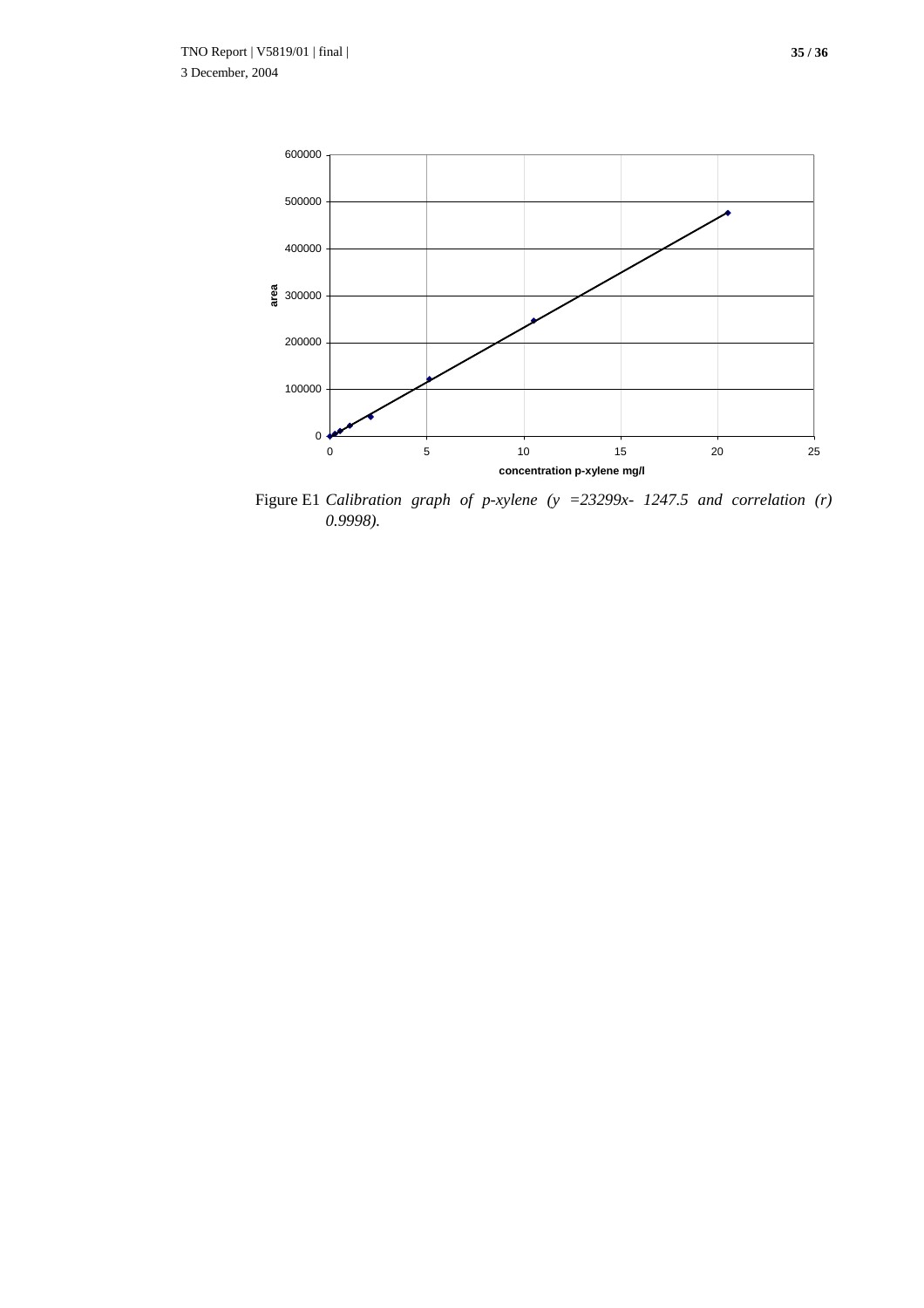

Figure E1 *Calibration graph of p-xylene (y =23299x- 1247.5 and correlation (r) 0.9998).*